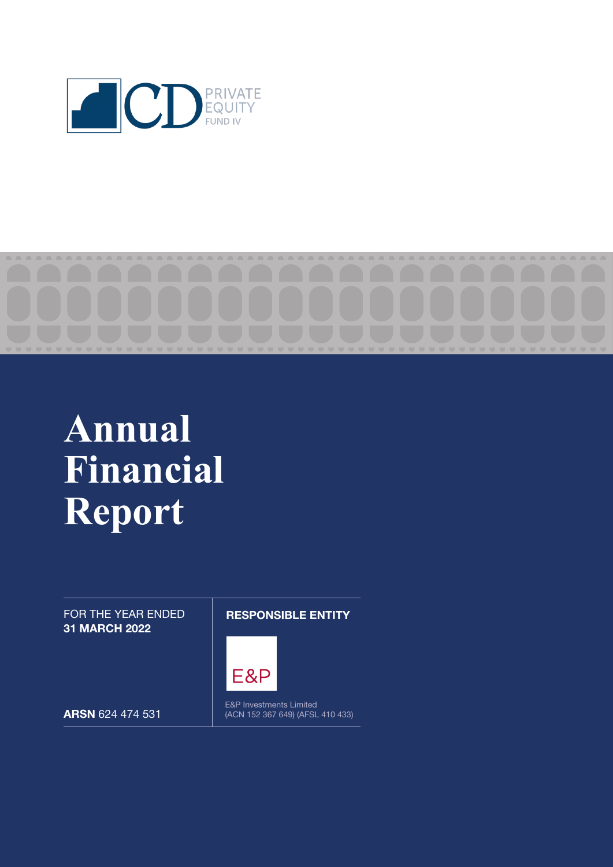

# **Annual Financial Report**

FOR THE YEAR ENDED 31 MARCH 2022

RESPONSIBLE ENTITY



ARSN 624 474 531

E&P Investments Limited (ACN 152 367 649) (AFSL 410 433)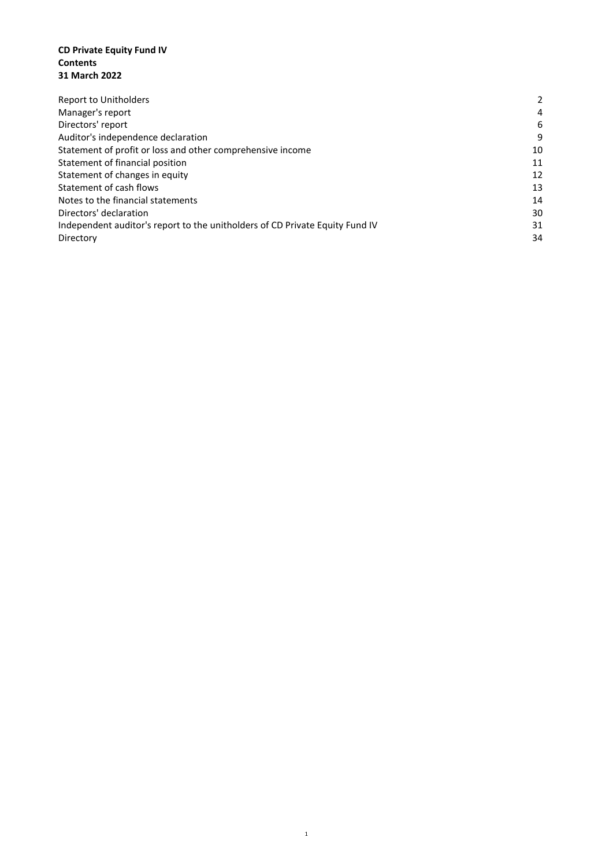#### **CD Private Equity Fund IV Contents 31 March 2022**

| Report to Unitholders                                                        | $\mathcal{P}$ |
|------------------------------------------------------------------------------|---------------|
| Manager's report                                                             | 4             |
| Directors' report                                                            | 6             |
| Auditor's independence declaration                                           | 9             |
| Statement of profit or loss and other comprehensive income                   | 10            |
| Statement of financial position                                              | 11            |
| Statement of changes in equity                                               | 12            |
| Statement of cash flows                                                      | 13            |
| Notes to the financial statements                                            | 14            |
| Directors' declaration                                                       | 30            |
| Independent auditor's report to the unitholders of CD Private Equity Fund IV | 31            |
| Directory                                                                    | 34            |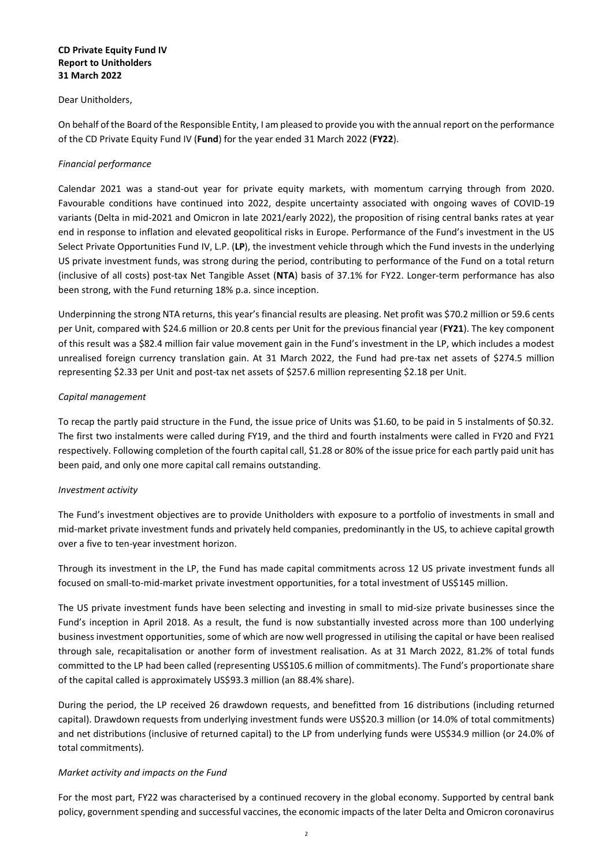#### **CD Private Equity Fund IV Report to Unitholders 31 March 2022**

#### Dear Unitholders,

On behalf of the Board of the Responsible Entity, I am pleased to provide you with the annual report on the performance of the CD Private Equity Fund IV (**Fund**) for the year ended 31 March 2022 (**FY22**).

#### *Financial performance*

Calendar 2021 was a stand-out year for private equity markets, with momentum carrying through from 2020. Favourable conditions have continued into 2022, despite uncertainty associated with ongoing waves of COVID-19 variants (Delta in mid-2021 and Omicron in late 2021/early 2022), the proposition of rising central banks rates at year end in response to inflation and elevated geopolitical risks in Europe. Performance of the Fund's investment in the US Select Private Opportunities Fund IV, L.P. (**LP**), the investment vehicle through which the Fund invests in the underlying US private investment funds, was strong during the period, contributing to performance of the Fund on a total return (inclusive of all costs) post-tax Net Tangible Asset (**NTA**) basis of 37.1% for FY22. Longer-term performance has also been strong, with the Fund returning 18% p.a. since inception.

Underpinning the strong NTA returns, this year's financial results are pleasing. Net profit was \$70.2 million or 59.6 cents per Unit, compared with \$24.6 million or 20.8 cents per Unit for the previous financial year (**FY21**). The key component of this result was a \$82.4 million fair value movement gain in the Fund's investment in the LP, which includes a modest unrealised foreign currency translation gain. At 31 March 2022, the Fund had pre-tax net assets of \$274.5 million representing \$2.33 per Unit and post-tax net assets of \$257.6 million representing \$2.18 per Unit.

#### *Capital management*

To recap the partly paid structure in the Fund, the issue price of Units was \$1.60, to be paid in 5 instalments of \$0.32. The first two instalments were called during FY19, and the third and fourth instalments were called in FY20 and FY21 respectively. Following completion of the fourth capital call, \$1.28 or 80% of the issue price for each partly paid unit has been paid, and only one more capital call remains outstanding.

#### *Investment activity*

The Fund's investment objectives are to provide Unitholders with exposure to a portfolio of investments in small and mid-market private investment funds and privately held companies, predominantly in the US, to achieve capital growth over a five to ten-year investment horizon.

Through its investment in the LP, the Fund has made capital commitments across 12 US private investment funds all focused on small-to-mid-market private investment opportunities, for a total investment of US\$145 million.

The US private investment funds have been selecting and investing in small to mid-size private businesses since the Fund's inception in April 2018. As a result, the fund is now substantially invested across more than 100 underlying business investment opportunities, some of which are now well progressed in utilising the capital or have been realised through sale, recapitalisation or another form of investment realisation. As at 31 March 2022, 81.2% of total funds committed to the LP had been called (representing US\$105.6 million of commitments). The Fund's proportionate share of the capital called is approximately US\$93.3 million (an 88.4% share).

During the period, the LP received 26 drawdown requests, and benefitted from 16 distributions (including returned capital). Drawdown requests from underlying investment funds were US\$20.3 million (or 14.0% of total commitments) and net distributions (inclusive of returned capital) to the LP from underlying funds were US\$34.9 million (or 24.0% of total commitments).

#### *Market activity and impacts on the Fund*

For the most part, FY22 was characterised by a continued recovery in the global economy. Supported by central bank policy, government spending and successful vaccines, the economic impacts of the later Delta and Omicron coronavirus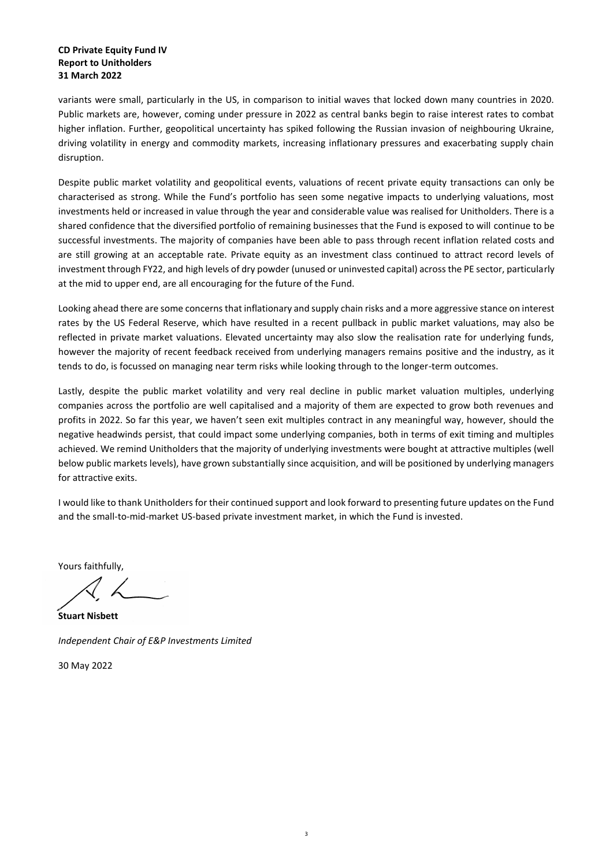#### **CD Private Equity Fund IV Report to Unitholders 31 March 2022**

variants were small, particularly in the US, in comparison to initial waves that locked down many countries in 2020. Public markets are, however, coming under pressure in 2022 as central banks begin to raise interest rates to combat higher inflation. Further, geopolitical uncertainty has spiked following the Russian invasion of neighbouring Ukraine, driving volatility in energy and commodity markets, increasing inflationary pressures and exacerbating supply chain disruption.

Despite public market volatility and geopolitical events, valuations of recent private equity transactions can only be characterised as strong. While the Fund's portfolio has seen some negative impacts to underlying valuations, most investments held or increased in value through the year and considerable value was realised for Unitholders. There is a shared confidence that the diversified portfolio of remaining businesses that the Fund is exposed to will continue to be successful investments. The majority of companies have been able to pass through recent inflation related costs and are still growing at an acceptable rate. Private equity as an investment class continued to attract record levels of investment through FY22, and high levels of dry powder (unused or uninvested capital) across the PE sector, particularly at the mid to upper end, are all encouraging for the future of the Fund.

Looking ahead there are some concerns that inflationary and supply chain risks and a more aggressive stance on interest rates by the US Federal Reserve, which have resulted in a recent pullback in public market valuations, may also be reflected in private market valuations. Elevated uncertainty may also slow the realisation rate for underlying funds, however the majority of recent feedback received from underlying managers remains positive and the industry, as it tends to do, is focussed on managing near term risks while looking through to the longer-term outcomes.

Lastly, despite the public market volatility and very real decline in public market valuation multiples, underlying companies across the portfolio are well capitalised and a majority of them are expected to grow both revenues and profits in 2022. So far this year, we haven't seen exit multiples contract in any meaningful way, however, should the negative headwinds persist, that could impact some underlying companies, both in terms of exit timing and multiples achieved. We remind Unitholders that the majority of underlying investments were bought at attractive multiples (well below public markets levels), have grown substantially since acquisition, and will be positioned by underlying managers for attractive exits.

I would like to thank Unitholders for their continued support and look forward to presenting future updates on the Fund and the small-to-mid-market US-based private investment market, in which the Fund is invested.

Yours faithfully,

**Stuart Nisbett** *Independent Chair of E&P Investments Limited*

30 May 2022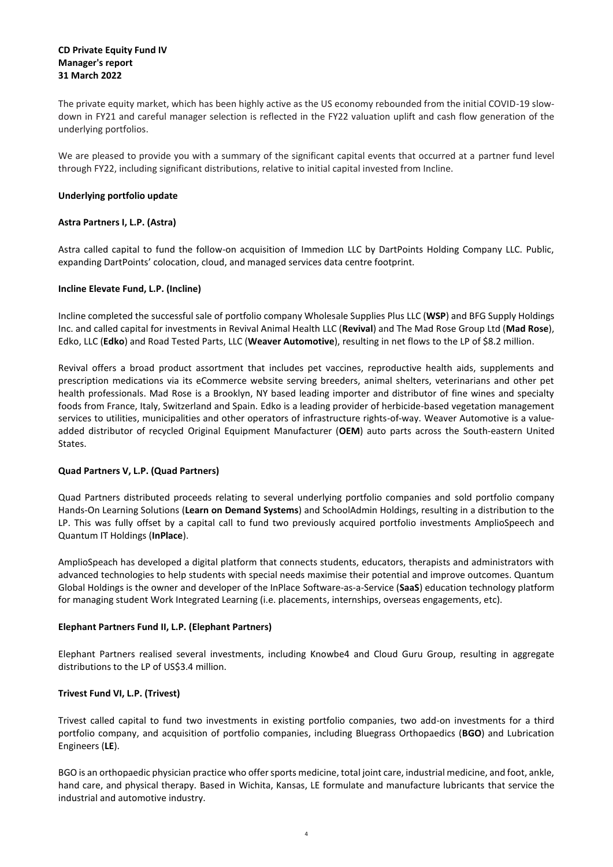#### **CD Private Equity Fund IV Manager's report 31 March 2022**

The private equity market, which has been highly active as the US economy rebounded from the initial COVID-19 slowdown in FY21 and careful manager selection is reflected in the FY22 valuation uplift and cash flow generation of the underlying portfolios.

We are pleased to provide you with a summary of the significant capital events that occurred at a partner fund level through FY22, including significant distributions, relative to initial capital invested from Incline.

#### **Underlying portfolio update**

#### **Astra Partners I, L.P. (Astra)**

Astra called capital to fund the follow-on acquisition of Immedion LLC by DartPoints Holding Company LLC. Public, expanding DartPoints' colocation, cloud, and managed services data centre footprint.

#### **Incline Elevate Fund, L.P. (Incline)**

Incline completed the successful sale of portfolio company Wholesale Supplies Plus LLC (**WSP**) and BFG Supply Holdings Inc. and called capital for investments in Revival Animal Health LLC (**Revival**) and The Mad Rose Group Ltd (**Mad Rose**), Edko, LLC (**Edko**) and Road Tested Parts, LLC (**Weaver Automotive**), resulting in net flows to the LP of \$8.2 million.

Revival offers a broad product assortment that includes pet vaccines, reproductive health aids, supplements and prescription medications via its eCommerce website serving breeders, animal shelters, veterinarians and other pet health professionals. Mad Rose is a Brooklyn, NY based leading importer and distributor of fine wines and specialty foods from France, Italy, Switzerland and Spain. Edko is a leading provider of herbicide-based vegetation management services to utilities, municipalities and other operators of infrastructure rights-of-way. Weaver Automotive is a value‐ added distributor of recycled Original Equipment Manufacturer (**OEM**) auto parts across the South-eastern United States.

#### **Quad Partners V, L.P. (Quad Partners)**

Quad Partners distributed proceeds relating to several underlying portfolio companies and sold portfolio company Hands-On Learning Solutions (**Learn on Demand Systems**) and SchoolAdmin Holdings, resulting in a distribution to the LP. This was fully offset by a capital call to fund two previously acquired portfolio investments AmplioSpeech and Quantum IT Holdings (**InPlace**).

AmplioSpeach has developed a digital platform that connects students, educators, therapists and administrators with advanced technologies to help students with special needs maximise their potential and improve outcomes. Quantum Global Holdings is the owner and developer of the InPlace Software-as-a-Service (**SaaS**) education technology platform for managing student Work Integrated Learning (i.e. placements, internships, overseas engagements, etc).

#### **Elephant Partners Fund II, L.P. (Elephant Partners)**

Elephant Partners realised several investments, including Knowbe4 and Cloud Guru Group, resulting in aggregate distributions to the LP of US\$3.4 million.

#### **Trivest Fund VI, L.P. (Trivest)**

Trivest called capital to fund two investments in existing portfolio companies, two add-on investments for a third portfolio company, and acquisition of portfolio companies, including Bluegrass Orthopaedics (**BGO**) and Lubrication Engineers (**LE**).

BGO is an orthopaedic physician practice who offer sports medicine, total joint care, industrial medicine, and foot, ankle, hand care, and physical therapy. Based in Wichita, Kansas, LE formulate and manufacture lubricants that service the industrial and automotive industry.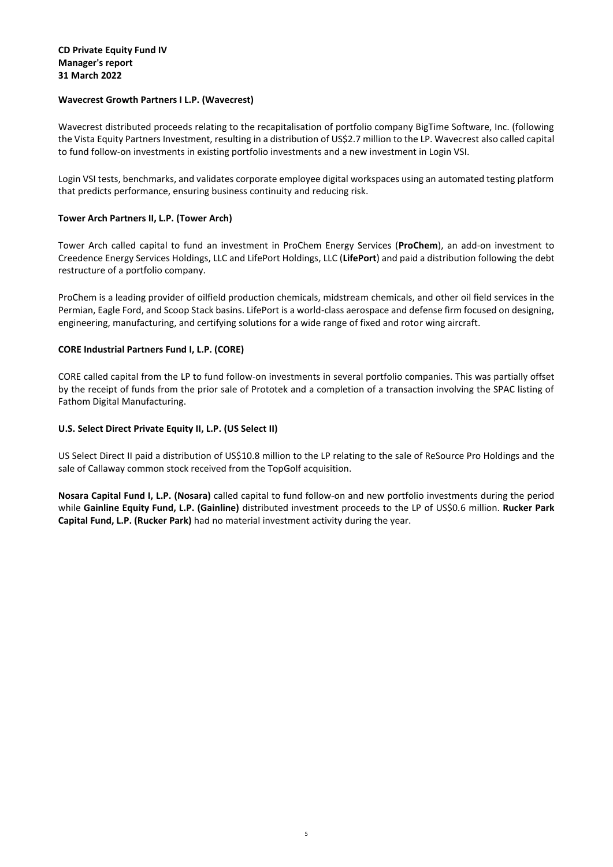#### **CD Private Equity Fund IV Manager's report 31 March 2022**

#### **Wavecrest Growth Partners I L.P. (Wavecrest)**

Wavecrest distributed proceeds relating to the recapitalisation of portfolio company BigTime Software, Inc. (following the Vista Equity Partners Investment, resulting in a distribution of US\$2.7 million to the LP. Wavecrest also called capital to fund follow-on investments in existing portfolio investments and a new investment in Login VSI.

Login VSI tests, benchmarks, and validates corporate employee digital workspaces using an automated testing platform that predicts performance, ensuring business continuity and reducing risk.

#### **Tower Arch Partners II, L.P. (Tower Arch)**

Tower Arch called capital to fund an investment in ProChem Energy Services (**ProChem**), an add-on investment to Creedence Energy Services Holdings, LLC and LifePort Holdings, LLC (**LifePort**) and paid a distribution following the debt restructure of a portfolio company.

ProChem is a leading provider of oilfield production chemicals, midstream chemicals, and other oil field services in the Permian, Eagle Ford, and Scoop Stack basins. LifePort is a world-class aerospace and defense firm focused on designing, engineering, manufacturing, and certifying solutions for a wide range of fixed and rotor wing aircraft.

#### **CORE Industrial Partners Fund I, L.P. (CORE)**

CORE called capital from the LP to fund follow-on investments in several portfolio companies. This was partially offset by the receipt of funds from the prior sale of Prototek and a completion of a transaction involving the SPAC listing of Fathom Digital Manufacturing.

#### **U.S. Select Direct Private Equity II, L.P. (US Select II)**

US Select Direct II paid a distribution of US\$10.8 million to the LP relating to the sale of ReSource Pro Holdings and the sale of Callaway common stock received from the TopGolf acquisition.

**Nosara Capital Fund I, L.P. (Nosara)** called capital to fund follow-on and new portfolio investments during the period while **Gainline Equity Fund, L.P. (Gainline)** distributed investment proceeds to the LP of US\$0.6 million. **Rucker Park Capital Fund, L.P. (Rucker Park)** had no material investment activity during the year.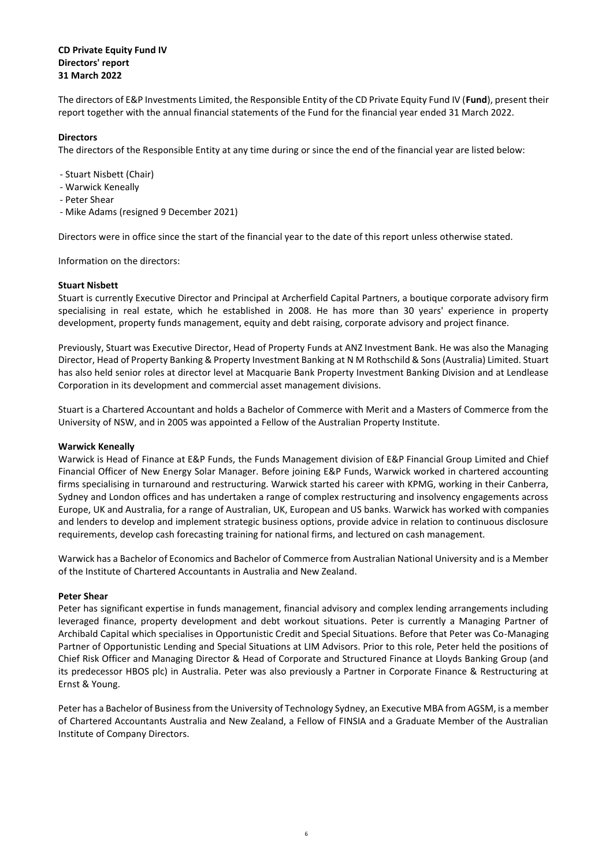#### **CD Private Equity Fund IV Directors' report 31 March 2022**

The directors of E&P Investments Limited, the Responsible Entity of the CD Private Equity Fund IV (**Fund**), present their report together with the annual financial statements of the Fund for the financial year ended 31 March 2022.

#### **Directors**

The directors of the Responsible Entity at any time during or since the end of the financial year are listed below:

- Stuart Nisbett (Chair)
- Warwick Keneally
- Peter Shear
- Mike Adams (resigned 9 December 2021)

Directors were in office since the start of the financial year to the date of this report unless otherwise stated.

Information on the directors:

#### **Stuart Nisbett**

Stuart is currently Executive Director and Principal at Archerfield Capital Partners, a boutique corporate advisory firm specialising in real estate, which he established in 2008. He has more than 30 years' experience in property development, property funds management, equity and debt raising, corporate advisory and project finance.

Previously, Stuart was Executive Director, Head of Property Funds at ANZ Investment Bank. He was also the Managing Director, Head of Property Banking & Property Investment Banking at N M Rothschild & Sons (Australia) Limited. Stuart has also held senior roles at director level at Macquarie Bank Property Investment Banking Division and at Lendlease Corporation in its development and commercial asset management divisions.

Stuart is a Chartered Accountant and holds a Bachelor of Commerce with Merit and a Masters of Commerce from the University of NSW, and in 2005 was appointed a Fellow of the Australian Property Institute.

#### **Warwick Keneally**

Warwick is Head of Finance at E&P Funds, the Funds Management division of E&P Financial Group Limited and Chief Financial Officer of New Energy Solar Manager. Before joining E&P Funds, Warwick worked in chartered accounting firms specialising in turnaround and restructuring. Warwick started his career with KPMG, working in their Canberra, Sydney and London offices and has undertaken a range of complex restructuring and insolvency engagements across Europe, UK and Australia, for a range of Australian, UK, European and US banks. Warwick has worked with companies and lenders to develop and implement strategic business options, provide advice in relation to continuous disclosure requirements, develop cash forecasting training for national firms, and lectured on cash management.

Warwick has a Bachelor of Economics and Bachelor of Commerce from Australian National University and is a Member of the Institute of Chartered Accountants in Australia and New Zealand.

#### **Peter Shear**

Peter has significant expertise in funds management, financial advisory and complex lending arrangements including leveraged finance, property development and debt workout situations. Peter is currently a Managing Partner of Archibald Capital which specialises in Opportunistic Credit and Special Situations. Before that Peter was Co-Managing Partner of Opportunistic Lending and Special Situations at LIM Advisors. Prior to this role, Peter held the positions of Chief Risk Officer and Managing Director & Head of Corporate and Structured Finance at Lloyds Banking Group (and its predecessor HBOS plc) in Australia. Peter was also previously a Partner in Corporate Finance & Restructuring at Ernst & Young.

Peter has a Bachelor of Business from the University of Technology Sydney, an Executive MBA from AGSM, is a member of Chartered Accountants Australia and New Zealand, a Fellow of FINSIA and a Graduate Member of the Australian Institute of Company Directors.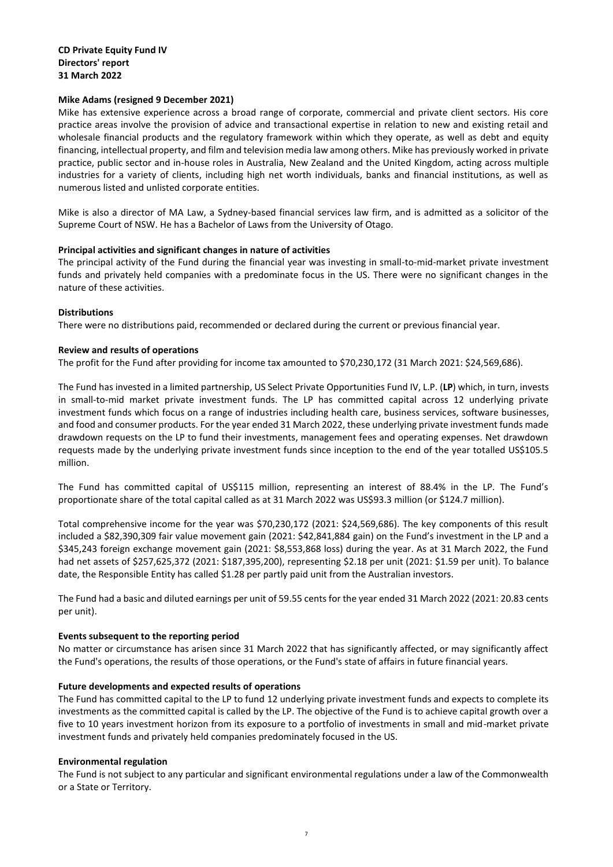#### **Mike Adams (resigned 9 December 2021)**

Mike has extensive experience across a broad range of corporate, commercial and private client sectors. His core practice areas involve the provision of advice and transactional expertise in relation to new and existing retail and wholesale financial products and the regulatory framework within which they operate, as well as debt and equity financing, intellectual property, and film and television media law among others. Mike has previously worked in private practice, public sector and in-house roles in Australia, New Zealand and the United Kingdom, acting across multiple industries for a variety of clients, including high net worth individuals, banks and financial institutions, as well as numerous listed and unlisted corporate entities.

Mike is also a director of MA Law, a Sydney-based financial services law firm, and is admitted as a solicitor of the Supreme Court of NSW. He has a Bachelor of Laws from the University of Otago.

#### **Principal activities and significant changes in nature of activities**

The principal activity of the Fund during the financial year was investing in small-to-mid-market private investment funds and privately held companies with a predominate focus in the US. There were no significant changes in the nature of these activities.

#### **Distributions**

There were no distributions paid, recommended or declared during the current or previous financial year.

#### **Review and results of operations**

The profit for the Fund after providing for income tax amounted to \$70,230,172 (31 March 2021: \$24,569,686).

The Fund has invested in a limited partnership, US Select Private Opportunities Fund IV, L.P. (**LP**) which, in turn, invests in small-to-mid market private investment funds. The LP has committed capital across 12 underlying private investment funds which focus on a range of industries including health care, business services, software businesses, and food and consumer products. For the year ended 31 March 2022, these underlying private investment funds made drawdown requests on the LP to fund their investments, management fees and operating expenses. Net drawdown requests made by the underlying private investment funds since inception to the end of the year totalled US\$105.5 million.

The Fund has committed capital of US\$115 million, representing an interest of 88.4% in the LP. The Fund's proportionate share of the total capital called as at 31 March 2022 was US\$93.3 million (or \$124.7 million).

Total comprehensive income for the year was \$70,230,172 (2021: \$24,569,686). The key components of this result included a \$82,390,309 fair value movement gain (2021: \$42,841,884 gain) on the Fund's investment in the LP and a \$345,243 foreign exchange movement gain (2021: \$8,553,868 loss) during the year. As at 31 March 2022, the Fund had net assets of \$257,625,372 (2021: \$187,395,200), representing \$2.18 per unit (2021: \$1.59 per unit). To balance date, the Responsible Entity has called \$1.28 per partly paid unit from the Australian investors.

The Fund had a basic and diluted earnings per unit of 59.55 cents for the year ended 31 March 2022 (2021: 20.83 cents per unit).

#### **Events subsequent to the reporting period**

No matter or circumstance has arisen since 31 March 2022 that has significantly affected, or may significantly affect the Fund's operations, the results of those operations, or the Fund's state of affairs in future financial years.

#### **Future developments and expected results of operations**

The Fund has committed capital to the LP to fund 12 underlying private investment funds and expects to complete its investments as the committed capital is called by the LP. The objective of the Fund is to achieve capital growth over a five to 10 years investment horizon from its exposure to a portfolio of investments in small and mid-market private investment funds and privately held companies predominately focused in the US.

#### **Environmental regulation**

The Fund is not subject to any particular and significant environmental regulations under a law of the Commonwealth or a State or Territory.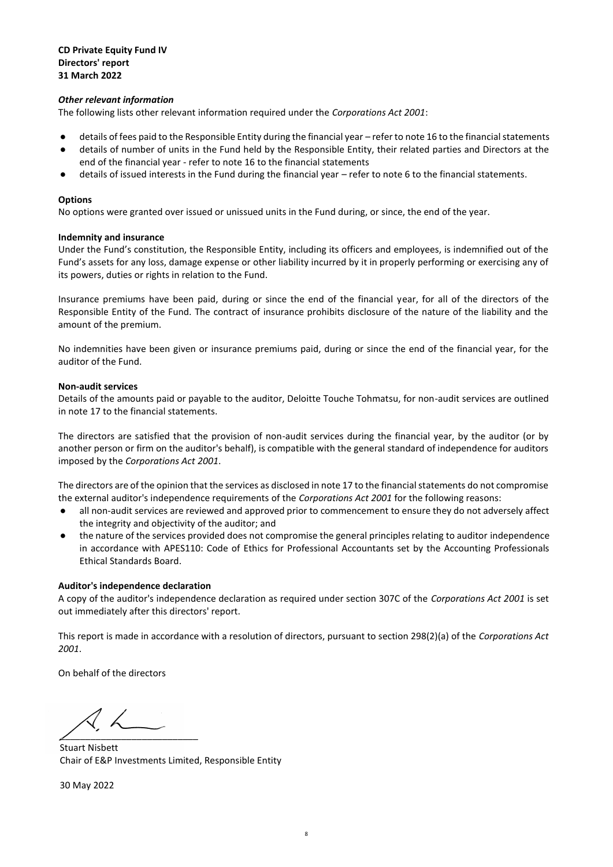#### **CD Private Equity Fund IV Directors' report 31 March 2022**

#### *Other relevant information*

The following lists other relevant information required under the *Corporations Act 2001*:

- details of fees paid to the Responsible Entity during the financial year refer to note 16 to the financial statements
- details of number of units in the Fund held by the Responsible Entity, their related parties and Directors at the end of the financial year - refer to note 16 to the financial statements
- details of issued interests in the Fund during the financial year refer to note 6 to the financial statements.

#### **Options**

No options were granted over issued or unissued units in the Fund during, or since, the end of the year.

#### **Indemnity and insurance**

Under the Fund's constitution, the Responsible Entity, including its officers and employees, is indemnified out of the Fund's assets for any loss, damage expense or other liability incurred by it in properly performing or exercising any of its powers, duties or rights in relation to the Fund.

Insurance premiums have been paid, during or since the end of the financial year, for all of the directors of the Responsible Entity of the Fund. The contract of insurance prohibits disclosure of the nature of the liability and the amount of the premium.

No indemnities have been given or insurance premiums paid, during or since the end of the financial year, for the auditor of the Fund.

#### **Non-audit services**

Details of the amounts paid or payable to the auditor, Deloitte Touche Tohmatsu, for non-audit services are outlined in note 17 to the financial statements.

The directors are satisfied that the provision of non-audit services during the financial year, by the auditor (or by another person or firm on the auditor's behalf), is compatible with the general standard of independence for auditors imposed by the *Corporations Act 2001*.

The directors are of the opinion that the services as disclosed in note 17 to the financial statements do not compromise the external auditor's independence requirements of the *Corporations Act 2001* for the following reasons:

- all non-audit services are reviewed and approved prior to commencement to ensure they do not adversely affect the integrity and objectivity of the auditor; and
- the nature of the services provided does not compromise the general principles relating to auditor independence in accordance with APES110: Code of Ethics for Professional Accountants set by the Accounting Professionals Ethical Standards Board.

#### **Auditor's independence declaration**

A copy of the auditor's independence declaration as required under section 307C of the *Corporations Act 2001* is set out immediately after this directors' report.

This report is made in accordance with a resolution of directors, pursuant to section 298(2)(a) of the *Corporations Act 2001*.

On behalf of the directors

 $\overline{\mathcal{L}}$  . The same set of the set of the set of the set of the set of the set of the set of the set of the set of the set of the set of the set of the set of the set of the set of the set of the set of the set of the

Stuart Nisbett Chair of E&P Investments Limited, Responsible Entity

30 May 2022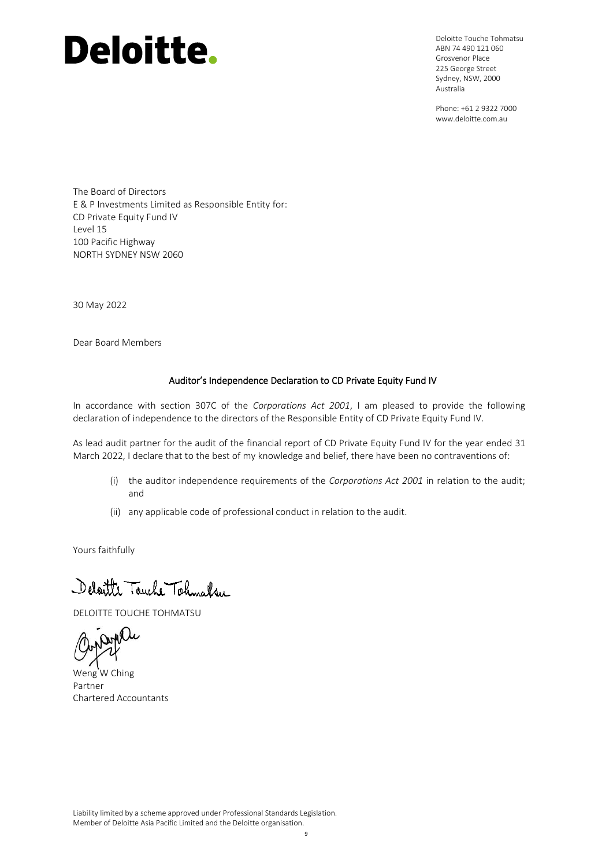# **Deloitte.**

Deloitte Touche Tohmatsu ABN 74 490 121 060 Grosvenor Place 225 George Street Sydney, NSW, 2000 Australia

Phone: +61 2 9322 7000 www.deloitte.com.au

The Board of Directors E & P Investments Limited as Responsible Entity for: CD Private Equity Fund IV Level 15 100 Pacific Highway NORTH SYDNEY NSW 2060

30 May 2022

Dear Board Members

#### Auditor's Independence Declaration to CD Private Equity Fund IV

In accordance with section 307C of the *Corporations Act 2001*, I am pleased to provide the following declaration of independence to the directors of the Responsible Entity of CD Private Equity Fund IV.

As lead audit partner for the audit of the financial report of CD Private Equity Fund IV for the year ended 31 March 2022, I declare that to the best of my knowledge and belief, there have been no contraventions of:

- (i) the auditor independence requirements of the *Corporations Act 2001* in relation to the audit; and
- (ii) any applicable code of professional conduct in relation to the audit.

Yours faithfully

Delaitte Touche Tohnalsu

DELOITTE TOUCHE TOHMATSU

Weng W Ching Partner Chartered Accountants

Liability limited by a scheme approved under Professional Standards Legislation. Member of Deloitte Asia Pacific Limited and the Deloitte organisation.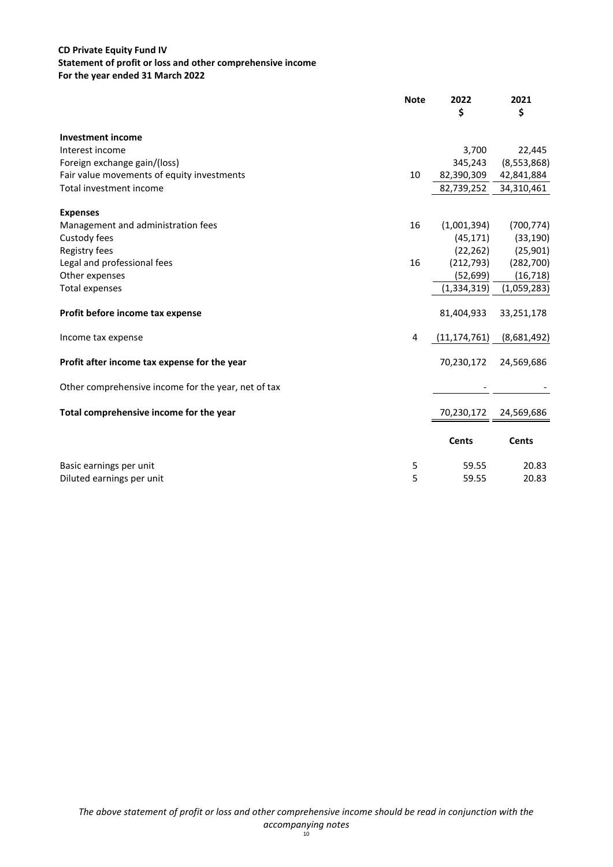#### **CD Private Equity Fund IV Statement of profit or loss and other comprehensive income For the year ended 31 March 2022**

|                                                     | <b>Note</b> | 2022<br>\$     | 2021<br>\$   |
|-----------------------------------------------------|-------------|----------------|--------------|
| <b>Investment income</b>                            |             |                |              |
| Interest income                                     |             | 3,700          | 22,445       |
| Foreign exchange gain/(loss)                        |             | 345,243        | (8,553,868)  |
| Fair value movements of equity investments          | 10          | 82,390,309     | 42,841,884   |
| Total investment income                             |             | 82,739,252     | 34,310,461   |
| <b>Expenses</b>                                     |             |                |              |
| Management and administration fees                  | 16          | (1,001,394)    | (700, 774)   |
| Custody fees                                        |             | (45, 171)      | (33, 190)    |
| Registry fees                                       |             | (22, 262)      | (25,901)     |
| Legal and professional fees                         | 16          | (212, 793)     | (282, 700)   |
| Other expenses                                      |             | (52, 699)      | (16, 718)    |
| <b>Total expenses</b>                               |             | (1, 334, 319)  | (1,059,283)  |
| Profit before income tax expense                    |             | 81,404,933     | 33,251,178   |
| Income tax expense                                  | 4           | (11, 174, 761) | (8,681,492)  |
| Profit after income tax expense for the year        |             | 70,230,172     | 24,569,686   |
| Other comprehensive income for the year, net of tax |             |                |              |
| Total comprehensive income for the year             |             | 70,230,172     | 24,569,686   |
|                                                     |             | <b>Cents</b>   | <b>Cents</b> |
| Basic earnings per unit                             | 5           | 59.55          | 20.83        |
| Diluted earnings per unit                           | 5           | 59.55          | 20.83        |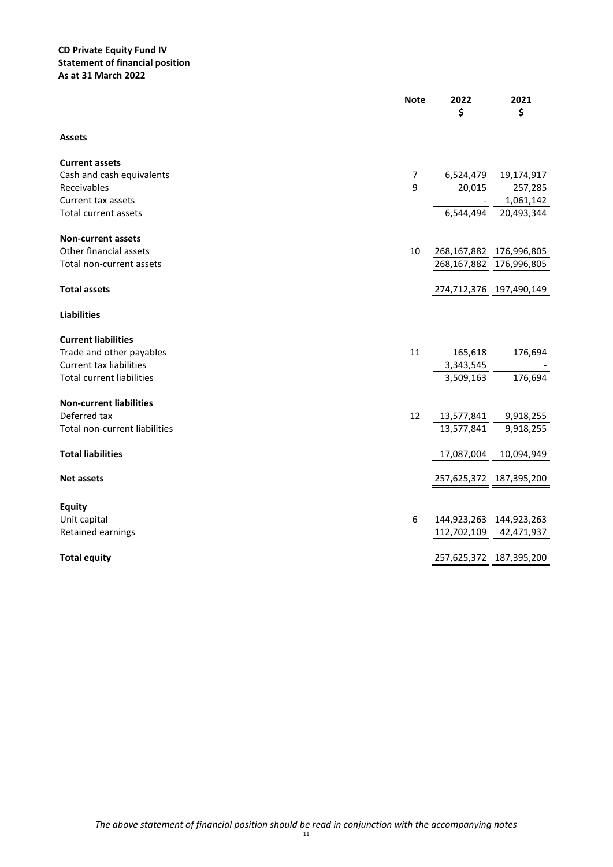#### **CD Private Equity Fund IV Statement of financial position As at 31 March 2022**

|                                      | <b>Note</b>    | 2022<br>\$              | 2021<br>\$                  |
|--------------------------------------|----------------|-------------------------|-----------------------------|
| <b>Assets</b>                        |                |                         |                             |
| <b>Current assets</b>                |                |                         |                             |
| Cash and cash equivalents            | $\overline{7}$ | 6,524,479               | 19,174,917                  |
| Receivables                          | 9              | 20,015                  | 257,285                     |
| Current tax assets                   |                |                         | 1,061,142                   |
| <b>Total current assets</b>          |                | 6,544,494               | 20,493,344                  |
| <b>Non-current assets</b>            |                |                         |                             |
| Other financial assets               | 10             |                         | 268, 167, 882 176, 996, 805 |
| Total non-current assets             |                | 268,167,882             | 176,996,805                 |
| <b>Total assets</b>                  |                | 274,712,376 197,490,149 |                             |
| <b>Liabilities</b>                   |                |                         |                             |
| <b>Current liabilities</b>           |                |                         |                             |
| Trade and other payables             | 11             | 165,618                 | 176,694                     |
| <b>Current tax liabilities</b>       |                | 3,343,545               |                             |
| <b>Total current liabilities</b>     |                | 3,509,163               | 176,694                     |
| <b>Non-current liabilities</b>       |                |                         |                             |
| Deferred tax                         | 12             | 13,577,841              | 9,918,255                   |
| <b>Total non-current liabilities</b> |                | 13,577,841              | 9,918,255                   |
|                                      |                |                         |                             |
| <b>Total liabilities</b>             |                | 17,087,004              | 10,094,949                  |
| <b>Net assets</b>                    |                | 257,625,372 187,395,200 |                             |
|                                      |                |                         |                             |
| <b>Equity</b><br>Unit capital        | 6              |                         | 144,923,263 144,923,263     |
| Retained earnings                    |                | 112,702,109             | 42,471,937                  |
|                                      |                |                         |                             |
| <b>Total equity</b>                  |                |                         | 257,625,372 187,395,200     |
|                                      |                |                         |                             |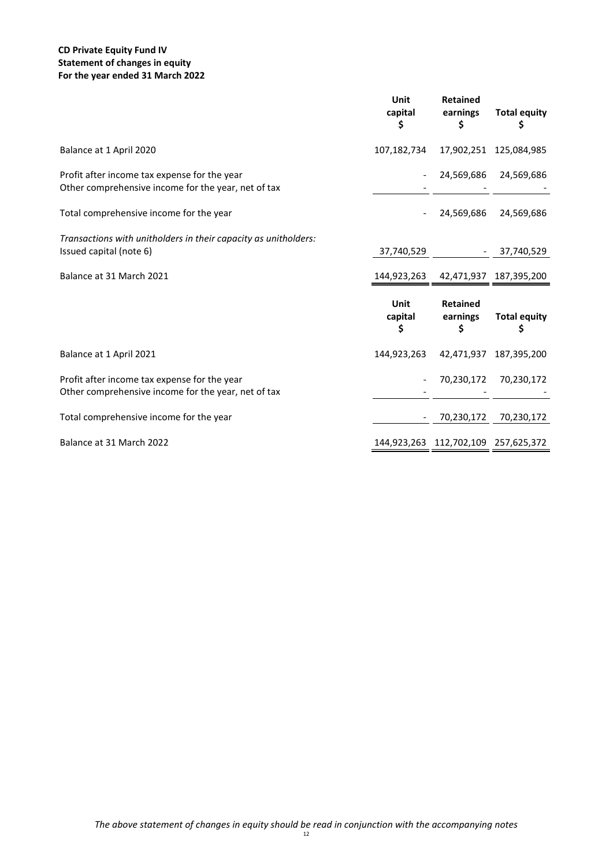#### **CD Private Equity Fund IV Statement of changes in equity For the year ended 31 March 2022**

|                                                                                                     | Unit<br>capital<br>\$ | <b>Retained</b><br>earnings<br>\$   | <b>Total equity</b><br>\$ |
|-----------------------------------------------------------------------------------------------------|-----------------------|-------------------------------------|---------------------------|
| Balance at 1 April 2020                                                                             | 107,182,734           |                                     | 17,902,251 125,084,985    |
| Profit after income tax expense for the year<br>Other comprehensive income for the year, net of tax |                       | 24,569,686                          | 24,569,686                |
| Total comprehensive income for the year                                                             |                       | 24,569,686                          | 24,569,686                |
| Transactions with unitholders in their capacity as unitholders:<br>Issued capital (note 6)          | 37,740,529            |                                     | 37,740,529                |
| Balance at 31 March 2021                                                                            | 144,923,263           |                                     | 42,471,937 187,395,200    |
|                                                                                                     | Unit<br>capital<br>\$ | <b>Retained</b><br>earnings<br>\$   | <b>Total equity</b><br>\$ |
| Balance at 1 April 2021                                                                             | 144,923,263           |                                     | 42,471,937 187,395,200    |
| Profit after income tax expense for the year<br>Other comprehensive income for the year, net of tax |                       | 70,230,172                          | 70,230,172                |
| Total comprehensive income for the year                                                             |                       | 70,230,172                          | 70,230,172                |
| Balance at 31 March 2022                                                                            |                       | 144,923,263 112,702,109 257,625,372 |                           |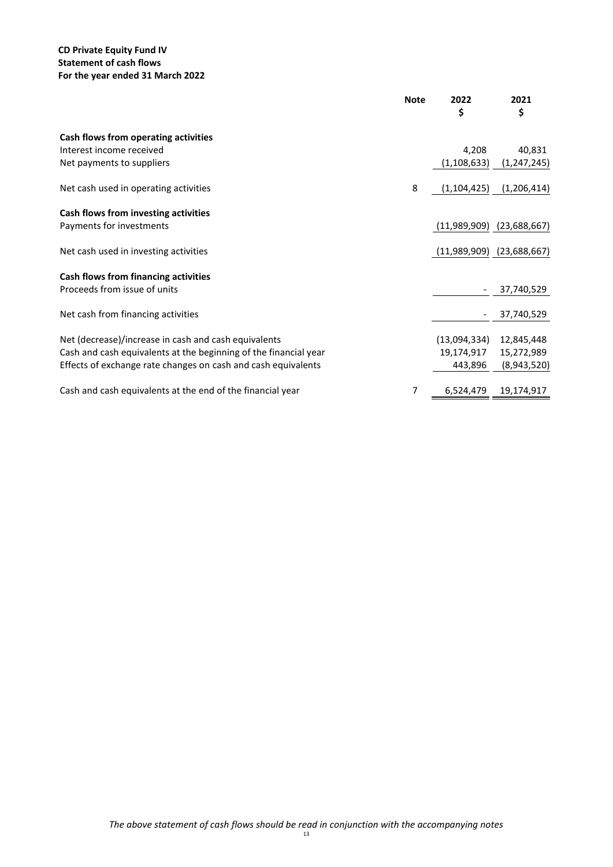#### **CD Private Equity Fund IV Statement of cash flows For the year ended 31 March 2022**

|                                                                  | <b>Note</b> | 2022<br>\$                    | 2021<br>\$    |
|------------------------------------------------------------------|-------------|-------------------------------|---------------|
| Cash flows from operating activities                             |             |                               |               |
| Interest income received                                         |             | 4,208                         | 40,831        |
| Net payments to suppliers                                        |             | (1, 108, 633)                 | (1, 247, 245) |
| Net cash used in operating activities                            | 8           | (1, 104, 425)                 | (1, 206, 414) |
| Cash flows from investing activities                             |             |                               |               |
| Payments for investments                                         |             | $(11,989,909)$ $(23,688,667)$ |               |
| Net cash used in investing activities                            |             | (11,989,909)                  | (23,688,667)  |
| Cash flows from financing activities                             |             |                               |               |
| Proceeds from issue of units                                     |             |                               | 37,740,529    |
| Net cash from financing activities                               |             |                               | 37,740,529    |
| Net (decrease)/increase in cash and cash equivalents             |             | (13,094,334)                  | 12,845,448    |
| Cash and cash equivalents at the beginning of the financial year |             | 19,174,917                    | 15,272,989    |
| Effects of exchange rate changes on cash and cash equivalents    |             | 443,896                       | (8,943,520)   |
| Cash and cash equivalents at the end of the financial year       | 7           | 6,524,479                     | 19,174,917    |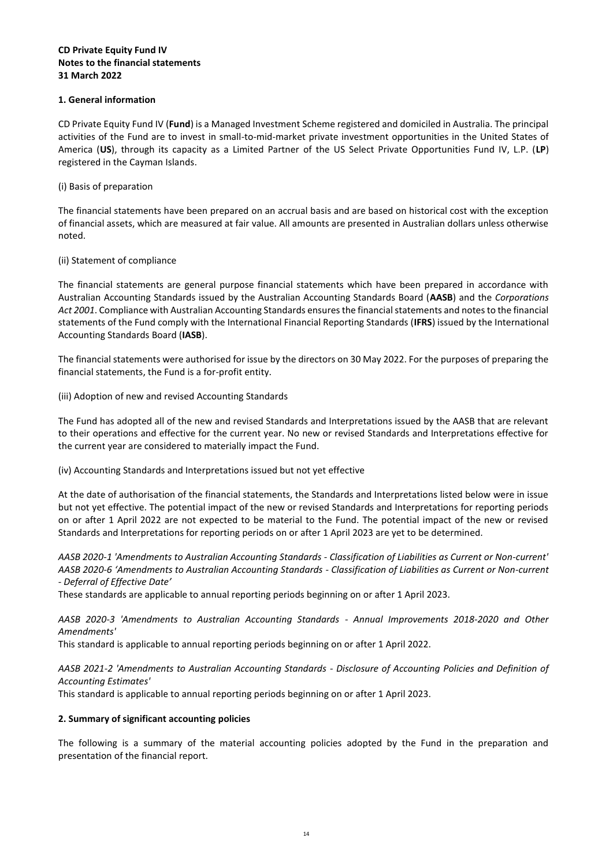#### **CD Private Equity Fund IV Notes to the financial statements 31 March 2022**

#### **1. General information**

CD Private Equity Fund IV (**Fund**) is a Managed Investment Scheme registered and domiciled in Australia. The principal activities of the Fund are to invest in small-to-mid-market private investment opportunities in the United States of America (**US**), through its capacity as a Limited Partner of the US Select Private Opportunities Fund IV, L.P. (**LP**) registered in the Cayman Islands.

#### (i) Basis of preparation

The financial statements have been prepared on an accrual basis and are based on historical cost with the exception of financial assets, which are measured at fair value. All amounts are presented in Australian dollars unless otherwise noted.

#### (ii) Statement of compliance

The financial statements are general purpose financial statements which have been prepared in accordance with Australian Accounting Standards issued by the Australian Accounting Standards Board (**AASB**) and the *Corporations Act 2001*. Compliance with Australian Accounting Standards ensures the financial statements and notes to the financial statements of the Fund comply with the International Financial Reporting Standards (**IFRS**) issued by the International Accounting Standards Board (**IASB**).

The financial statements were authorised for issue by the directors on 30 May 2022. For the purposes of preparing the financial statements, the Fund is a for-profit entity.

#### (iii) Adoption of new and revised Accounting Standards

The Fund has adopted all of the new and revised Standards and Interpretations issued by the AASB that are relevant to their operations and effective for the current year. No new or revised Standards and Interpretations effective for the current year are considered to materially impact the Fund.

#### (iv) Accounting Standards and Interpretations issued but not yet effective

At the date of authorisation of the financial statements, the Standards and Interpretations listed below were in issue but not yet effective. The potential impact of the new or revised Standards and Interpretations for reporting periods on or after 1 April 2022 are not expected to be material to the Fund. The potential impact of the new or revised Standards and Interpretations for reporting periods on or after 1 April 2023 are yet to be determined.

*AASB 2020-1 'Amendments to Australian Accounting Standards - Classification of Liabilities as Current or Non-current' AASB 2020-6 'Amendments to Australian Accounting Standards - Classification of Liabilities as Current or Non-current - Deferral of Effective Date'*

These standards are applicable to annual reporting periods beginning on or after 1 April 2023.

*AASB 2020-3 'Amendments to Australian Accounting Standards - Annual Improvements 2018-2020 and Other Amendments'*

This standard is applicable to annual reporting periods beginning on or after 1 April 2022.

*AASB 2021-2 'Amendments to Australian Accounting Standards - Disclosure of Accounting Policies and Definition of Accounting Estimates'*

This standard is applicable to annual reporting periods beginning on or after 1 April 2023.

#### **2. Summary of significant accounting policies**

The following is a summary of the material accounting policies adopted by the Fund in the preparation and presentation of the financial report.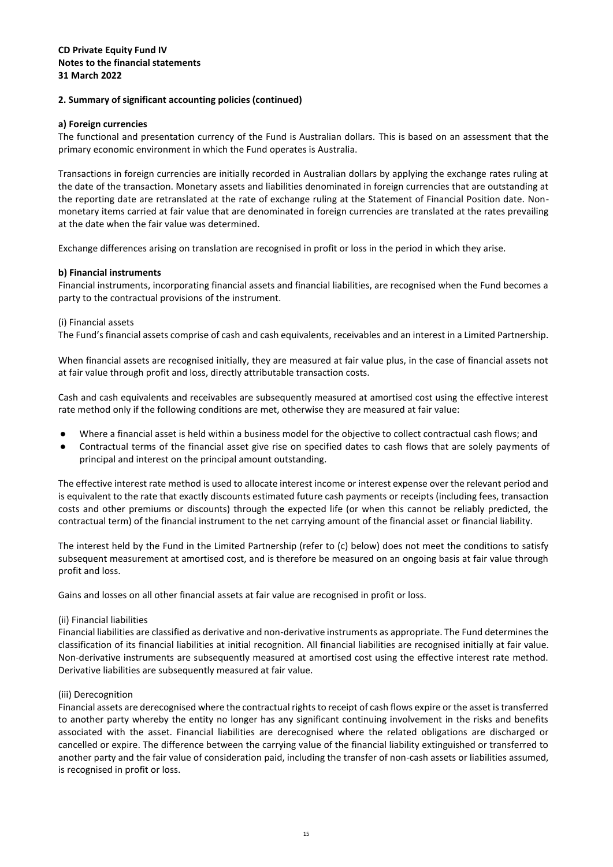#### **a) Foreign currencies**

The functional and presentation currency of the Fund is Australian dollars. This is based on an assessment that the primary economic environment in which the Fund operates is Australia.

Transactions in foreign currencies are initially recorded in Australian dollars by applying the exchange rates ruling at the date of the transaction. Monetary assets and liabilities denominated in foreign currencies that are outstanding at the reporting date are retranslated at the rate of exchange ruling at the Statement of Financial Position date. Nonmonetary items carried at fair value that are denominated in foreign currencies are translated at the rates prevailing at the date when the fair value was determined.

Exchange differences arising on translation are recognised in profit or loss in the period in which they arise.

#### **b) Financial instruments**

Financial instruments, incorporating financial assets and financial liabilities, are recognised when the Fund becomes a party to the contractual provisions of the instrument.

#### (i) Financial assets

The Fund's financial assets comprise of cash and cash equivalents, receivables and an interest in a Limited Partnership.

When financial assets are recognised initially, they are measured at fair value plus, in the case of financial assets not at fair value through profit and loss, directly attributable transaction costs.

Cash and cash equivalents and receivables are subsequently measured at amortised cost using the effective interest rate method only if the following conditions are met, otherwise they are measured at fair value:

- Where a financial asset is held within a business model for the objective to collect contractual cash flows; and
- Contractual terms of the financial asset give rise on specified dates to cash flows that are solely payments of principal and interest on the principal amount outstanding.

The effective interest rate method is used to allocate interest income or interest expense over the relevant period and is equivalent to the rate that exactly discounts estimated future cash payments or receipts (including fees, transaction costs and other premiums or discounts) through the expected life (or when this cannot be reliably predicted, the contractual term) of the financial instrument to the net carrying amount of the financial asset or financial liability.

The interest held by the Fund in the Limited Partnership (refer to (c) below) does not meet the conditions to satisfy subsequent measurement at amortised cost, and is therefore be measured on an ongoing basis at fair value through profit and loss.

Gains and losses on all other financial assets at fair value are recognised in profit or loss.

#### (ii) Financial liabilities

Financial liabilities are classified as derivative and non-derivative instruments as appropriate. The Fund determines the classification of its financial liabilities at initial recognition. All financial liabilities are recognised initially at fair value. Non-derivative instruments are subsequently measured at amortised cost using the effective interest rate method. Derivative liabilities are subsequently measured at fair value.

#### (iii) Derecognition

Financial assets are derecognised where the contractual rights to receipt of cash flows expire or the asset is transferred to another party whereby the entity no longer has any significant continuing involvement in the risks and benefits associated with the asset. Financial liabilities are derecognised where the related obligations are discharged or cancelled or expire. The difference between the carrying value of the financial liability extinguished or transferred to another party and the fair value of consideration paid, including the transfer of non-cash assets or liabilities assumed, is recognised in profit or loss.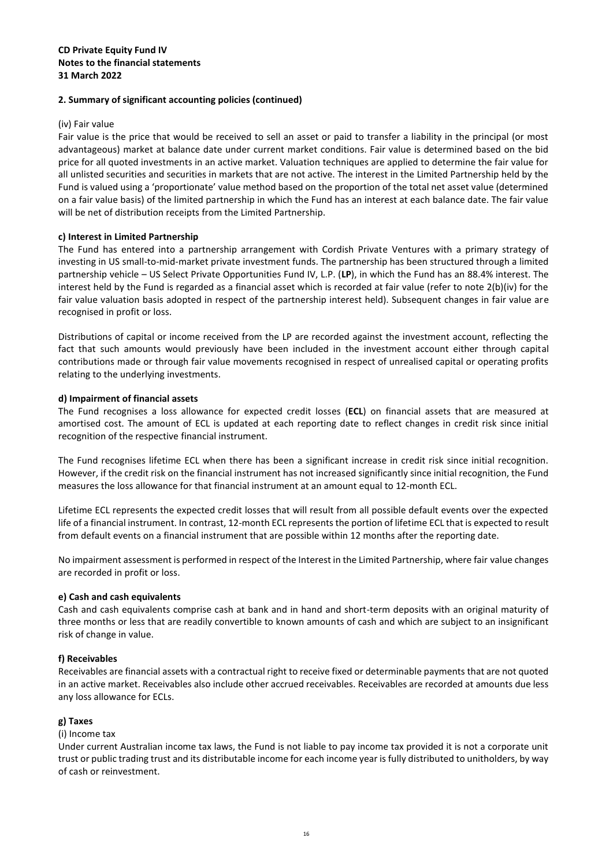#### (iv) Fair value

Fair value is the price that would be received to sell an asset or paid to transfer a liability in the principal (or most advantageous) market at balance date under current market conditions. Fair value is determined based on the bid price for all quoted investments in an active market. Valuation techniques are applied to determine the fair value for all unlisted securities and securities in markets that are not active. The interest in the Limited Partnership held by the Fund is valued using a 'proportionate' value method based on the proportion of the total net asset value (determined on a fair value basis) of the limited partnership in which the Fund has an interest at each balance date. The fair value will be net of distribution receipts from the Limited Partnership.

#### **c) Interest in Limited Partnership**

The Fund has entered into a partnership arrangement with Cordish Private Ventures with a primary strategy of investing in US small-to-mid-market private investment funds. The partnership has been structured through a limited partnership vehicle – US Select Private Opportunities Fund IV, L.P. (**LP**), in which the Fund has an 88.4% interest. The interest held by the Fund is regarded as a financial asset which is recorded at fair value (refer to note 2(b)(iv) for the fair value valuation basis adopted in respect of the partnership interest held). Subsequent changes in fair value are recognised in profit or loss.

Distributions of capital or income received from the LP are recorded against the investment account, reflecting the fact that such amounts would previously have been included in the investment account either through capital contributions made or through fair value movements recognised in respect of unrealised capital or operating profits relating to the underlying investments.

#### **d) Impairment of financial assets**

The Fund recognises a loss allowance for expected credit losses (**ECL**) on financial assets that are measured at amortised cost. The amount of ECL is updated at each reporting date to reflect changes in credit risk since initial recognition of the respective financial instrument.

The Fund recognises lifetime ECL when there has been a significant increase in credit risk since initial recognition. However, if the credit risk on the financial instrument has not increased significantly since initial recognition, the Fund measures the loss allowance for that financial instrument at an amount equal to 12-month ECL.

Lifetime ECL represents the expected credit losses that will result from all possible default events over the expected life of a financial instrument. In contrast, 12-month ECL represents the portion of lifetime ECL that is expected to result from default events on a financial instrument that are possible within 12 months after the reporting date.

No impairment assessment is performed in respect of the Interest in the Limited Partnership, where fair value changes are recorded in profit or loss.

#### **e) Cash and cash equivalents**

Cash and cash equivalents comprise cash at bank and in hand and short-term deposits with an original maturity of three months or less that are readily convertible to known amounts of cash and which are subject to an insignificant risk of change in value.

#### **f) Receivables**

Receivables are financial assets with a contractual right to receive fixed or determinable payments that are not quoted in an active market. Receivables also include other accrued receivables. Receivables are recorded at amounts due less any loss allowance for ECLs.

#### **g) Taxes**

#### (i) Income tax

Under current Australian income tax laws, the Fund is not liable to pay income tax provided it is not a corporate unit trust or public trading trust and its distributable income for each income year is fully distributed to unitholders, by way of cash or reinvestment.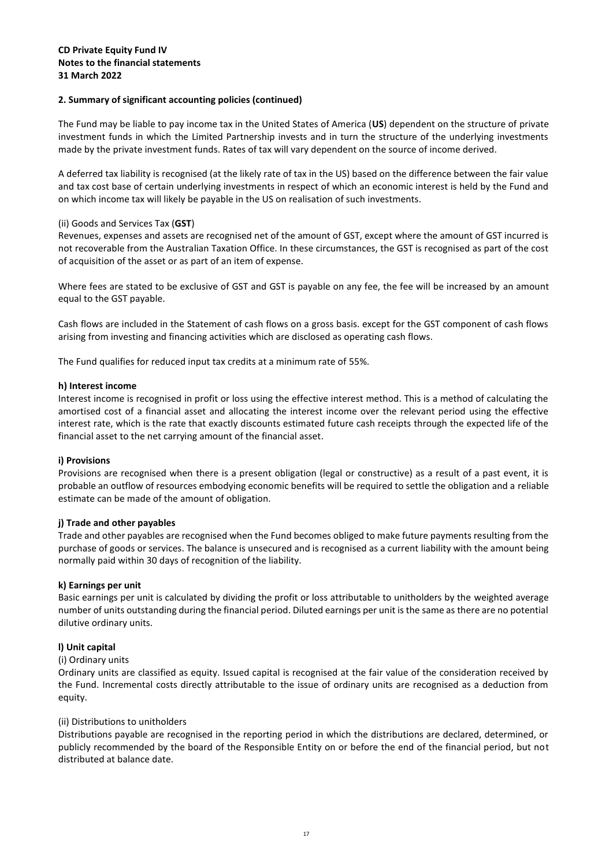The Fund may be liable to pay income tax in the United States of America (**US**) dependent on the structure of private investment funds in which the Limited Partnership invests and in turn the structure of the underlying investments made by the private investment funds. Rates of tax will vary dependent on the source of income derived.

A deferred tax liability is recognised (at the likely rate of tax in the US) based on the difference between the fair value and tax cost base of certain underlying investments in respect of which an economic interest is held by the Fund and on which income tax will likely be payable in the US on realisation of such investments.

#### (ii) Goods and Services Tax (**GST**)

Revenues, expenses and assets are recognised net of the amount of GST, except where the amount of GST incurred is not recoverable from the Australian Taxation Office. In these circumstances, the GST is recognised as part of the cost of acquisition of the asset or as part of an item of expense.

Where fees are stated to be exclusive of GST and GST is payable on any fee, the fee will be increased by an amount equal to the GST payable.

Cash flows are included in the Statement of cash flows on a gross basis. except for the GST component of cash flows arising from investing and financing activities which are disclosed as operating cash flows.

The Fund qualifies for reduced input tax credits at a minimum rate of 55%.

#### **h) Interest income**

Interest income is recognised in profit or loss using the effective interest method. This is a method of calculating the amortised cost of a financial asset and allocating the interest income over the relevant period using the effective interest rate, which is the rate that exactly discounts estimated future cash receipts through the expected life of the financial asset to the net carrying amount of the financial asset.

#### **i) Provisions**

Provisions are recognised when there is a present obligation (legal or constructive) as a result of a past event, it is probable an outflow of resources embodying economic benefits will be required to settle the obligation and a reliable estimate can be made of the amount of obligation.

#### **j) Trade and other payables**

Trade and other payables are recognised when the Fund becomes obliged to make future payments resulting from the purchase of goods or services. The balance is unsecured and is recognised as a current liability with the amount being normally paid within 30 days of recognition of the liability.

#### **k) Earnings per unit**

Basic earnings per unit is calculated by dividing the profit or loss attributable to unitholders by the weighted average number of units outstanding during the financial period. Diluted earnings per unit is the same as there are no potential dilutive ordinary units.

#### **l) Unit capital**

#### (i) Ordinary units

Ordinary units are classified as equity. Issued capital is recognised at the fair value of the consideration received by the Fund. Incremental costs directly attributable to the issue of ordinary units are recognised as a deduction from equity.

#### (ii) Distributions to unitholders

Distributions payable are recognised in the reporting period in which the distributions are declared, determined, or publicly recommended by the board of the Responsible Entity on or before the end of the financial period, but not distributed at balance date.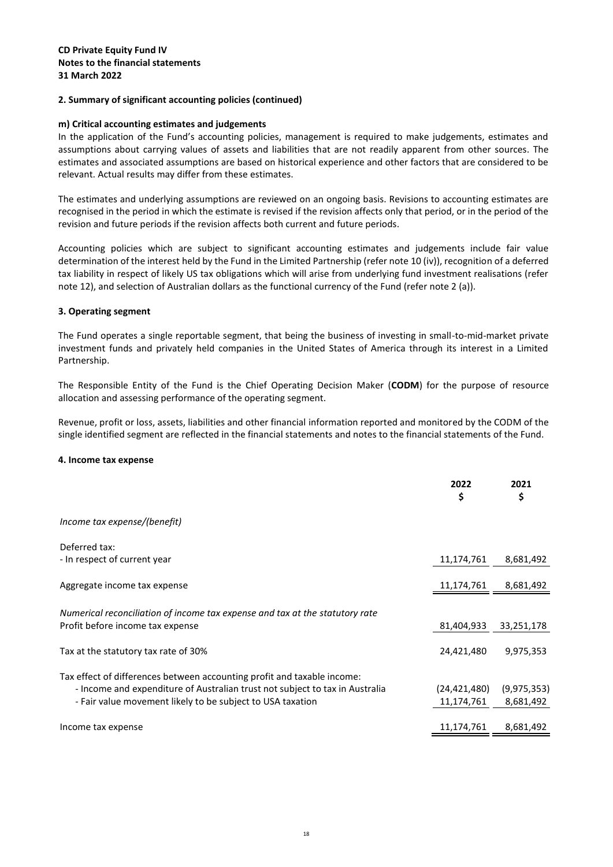#### **m) Critical accounting estimates and judgements**

In the application of the Fund's accounting policies, management is required to make judgements, estimates and assumptions about carrying values of assets and liabilities that are not readily apparent from other sources. The estimates and associated assumptions are based on historical experience and other factors that are considered to be relevant. Actual results may differ from these estimates.

The estimates and underlying assumptions are reviewed on an ongoing basis. Revisions to accounting estimates are recognised in the period in which the estimate is revised if the revision affects only that period, or in the period of the revision and future periods if the revision affects both current and future periods.

Accounting policies which are subject to significant accounting estimates and judgements include fair value determination of the interest held by the Fund in the Limited Partnership (refer note 10 (iv)), recognition of a deferred tax liability in respect of likely US tax obligations which will arise from underlying fund investment realisations (refer note 12), and selection of Australian dollars as the functional currency of the Fund (refer note 2 (a)).

#### **3. Operating segment**

The Fund operates a single reportable segment, that being the business of investing in small-to-mid-market private investment funds and privately held companies in the United States of America through its interest in a Limited Partnership.

The Responsible Entity of the Fund is the Chief Operating Decision Maker (**CODM**) for the purpose of resource allocation and assessing performance of the operating segment.

Revenue, profit or loss, assets, liabilities and other financial information reported and monitored by the CODM of the single identified segment are reflected in the financial statements and notes to the financial statements of the Fund.

#### **4. Income tax expense**

<span id="page-18-0"></span>

|                                                                                                                                                                                                                       | 2022<br>\$                 | 2021<br>\$                 |
|-----------------------------------------------------------------------------------------------------------------------------------------------------------------------------------------------------------------------|----------------------------|----------------------------|
| Income tax expense/(benefit)                                                                                                                                                                                          |                            |                            |
| Deferred tax:<br>- In respect of current year                                                                                                                                                                         | 11,174,761                 | 8,681,492                  |
| Aggregate income tax expense                                                                                                                                                                                          | 11,174,761                 | 8,681,492                  |
| Numerical reconciliation of income tax expense and tax at the statutory rate<br>Profit before income tax expense                                                                                                      | 81,404,933                 | 33,251,178                 |
| Tax at the statutory tax rate of 30%                                                                                                                                                                                  | 24,421,480                 | 9,975,353                  |
| Tax effect of differences between accounting profit and taxable income:<br>- Income and expenditure of Australian trust not subject to tax in Australia<br>- Fair value movement likely to be subject to USA taxation | (24,421,480)<br>11,174,761 | (9, 975, 353)<br>8,681,492 |
| Income tax expense                                                                                                                                                                                                    | 11,174,761                 | 8,681,492                  |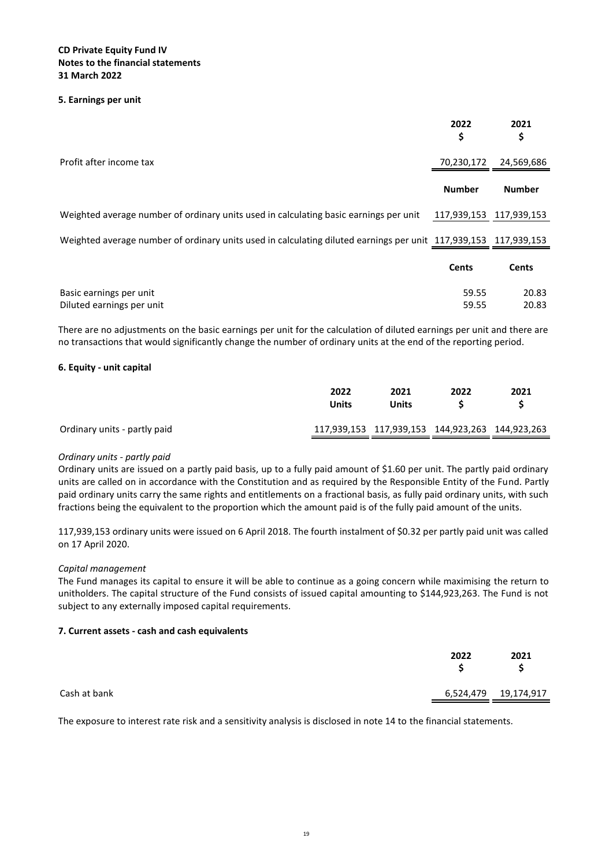#### **5. Earnings per unit**

<span id="page-19-0"></span>

|                                                                                                                 | 2022<br>\$              | 2021<br>\$     |
|-----------------------------------------------------------------------------------------------------------------|-------------------------|----------------|
| Profit after income tax                                                                                         | 70,230,172              | 24,569,686     |
|                                                                                                                 | <b>Number</b>           | <b>Number</b>  |
| Weighted average number of ordinary units used in calculating basic earnings per unit                           | 117,939,153 117,939,153 |                |
| Weighted average number of ordinary units used in calculating diluted earnings per unit 117,939,153 117,939,153 |                         |                |
|                                                                                                                 | <b>Cents</b>            | <b>Cents</b>   |
| Basic earnings per unit<br>Diluted earnings per unit                                                            | 59.55<br>59.55          | 20.83<br>20.83 |

There are no adjustments on the basic earnings per unit for the calculation of diluted earnings per unit and there are no transactions that would significantly change the number of ordinary units at the end of the reporting period.

#### **6. Equity - unit capital**

|                              | 2022<br>Units | 2021<br>Units                                   | 2022 | 2021 |
|------------------------------|---------------|-------------------------------------------------|------|------|
| Ordinary units - partly paid |               | 117,939,153 117,939,153 144,923,263 144,923,263 |      |      |

#### *Ordinary units - partly paid*

Ordinary units are issued on a partly paid basis, up to a fully paid amount of \$1.60 per unit. The partly paid ordinary units are called on in accordance with the Constitution and as required by the Responsible Entity of the Fund. Partly paid ordinary units carry the same rights and entitlements on a fractional basis, as fully paid ordinary units, with such fractions being the equivalent to the proportion which the amount paid is of the fully paid amount of the units.

117,939,153 ordinary units were issued on 6 April 2018. The fourth instalment of \$0.32 per partly paid unit was called on 17 April 2020.

#### *Capital management*

The Fund manages its capital to ensure it will be able to continue as a going concern while maximising the return to unitholders. The capital structure of the Fund consists of issued capital amounting to \$144,923,263. The Fund is not subject to any externally imposed capital requirements.

#### **7. Current assets - cash and cash equivalents**

<span id="page-19-1"></span>

|              | 2022 | 2021                 |
|--------------|------|----------------------|
| Cash at bank |      | 6,524,479 19,174,917 |

The exposure to interest rate risk and a sensitivity analysis is disclosed in note 14 to the financial statements.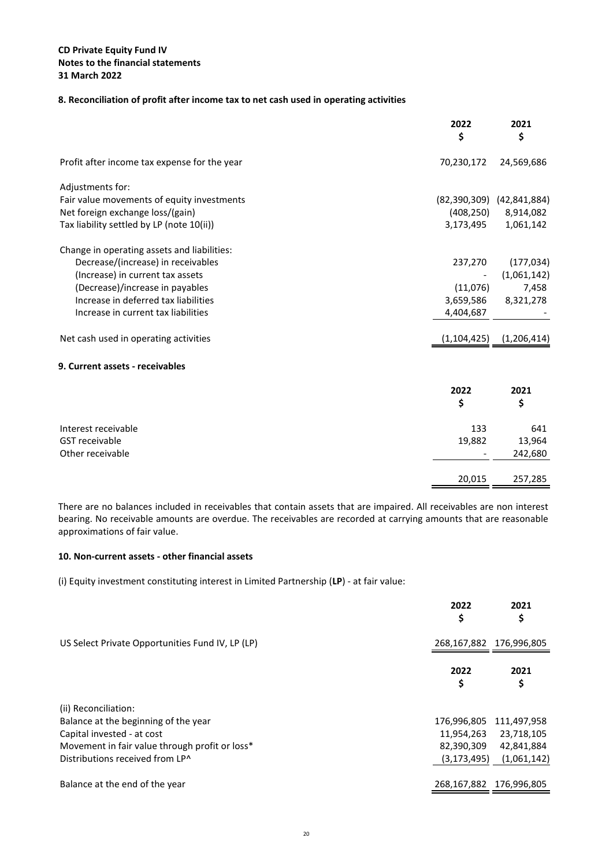#### **8. Reconciliation of profit after income tax to net cash used in operating activities**

<span id="page-20-2"></span>

|                                              | 2022<br>\$    | 2021<br>\$                    |
|----------------------------------------------|---------------|-------------------------------|
| Profit after income tax expense for the year | 70,230,172    | 24,569,686                    |
| Adjustments for:                             |               |                               |
| Fair value movements of equity investments   |               | $(82,390,309)$ $(42,841,884)$ |
| Net foreign exchange loss/(gain)             |               | $(408, 250)$ 8,914,082        |
| Tax liability settled by LP (note 10(ii))    | 3,173,495     | 1,061,142                     |
| Change in operating assets and liabilities:  |               |                               |
| Decrease/(increase) in receivables           | 237,270       | (177, 034)                    |
| (Increase) in current tax assets             |               | (1,061,142)                   |
| (Decrease)/increase in payables              | (11,076)      | 7,458                         |
| Increase in deferred tax liabilities         | 3,659,586     | 8,321,278                     |
| Increase in current tax liabilities          | 4,404,687     |                               |
| Net cash used in operating activities        | (1, 104, 425) | (1, 206, 414)                 |
| 9. Current assets - receivables              |               |                               |
|                                              | 2022          | 2021                          |
|                                              | \$            | \$                            |
| Interest receivable                          | 133           | 641                           |
| <b>GST</b> receivable                        | 19,882        | 13,964                        |
| Other receivable                             |               | 242,680                       |
|                                              | 20,015        | 257,285                       |

<span id="page-20-1"></span>There are no balances included in receivables that contain assets that are impaired. All receivables are non interest bearing. No receivable amounts are overdue. The receivables are recorded at carrying amounts that are reasonable approximations of fair value.

#### <span id="page-20-0"></span>**10. Non-current assets - other financial assets**

(i) Equity investment constituting interest in Limited Partnership (**LP**) - at fair value:

|                                                  | 2022<br>\$    | 2021<br>\$              |
|--------------------------------------------------|---------------|-------------------------|
| US Select Private Opportunities Fund IV, LP (LP) |               | 268,167,882 176,996,805 |
|                                                  | 2022<br>\$    | 2021<br>\$              |
| (ii) Reconciliation:                             |               |                         |
| Balance at the beginning of the year             |               | 176,996,805 111,497,958 |
| Capital invested - at cost                       | 11,954,263    | 23,718,105              |
| Movement in fair value through profit or loss*   | 82,390,309    | 42,841,884              |
| Distributions received from LP^                  | (3, 173, 495) | (1,061,142)             |
| Balance at the end of the year                   |               | 268,167,882 176,996,805 |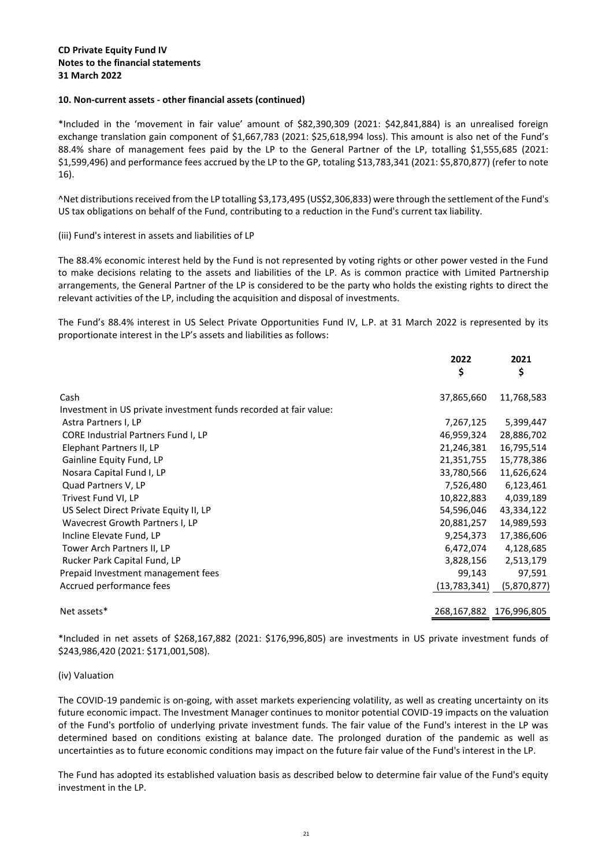#### **CD Private Equity Fund IV Notes to the financial statements 31 March 2022**

#### **10. Non-current assets - other financial assets (continued)**

\*Included in the 'movement in fair value' amount of \$82,390,309 (2021: \$42,841,884) is an unrealised foreign exchange translation gain component of \$1,667,783 (2021: \$25,618,994 loss). This amount is also net of the Fund's 88.4% share of management fees paid by the LP to the General Partner of the LP, totalling \$1,555,685 (2021: \$1,599,496) and performance fees accrued by the LP to the GP, totaling \$13,783,341 (2021: \$5,870,877) (refer to note 16).

^Net distributions received from the LP totalling \$3,173,495 (US\$2,306,833) were through the settlement of the Fund's US tax obligations on behalf of the Fund, contributing to a reduction in the Fund's current tax liability.

#### (iii) Fund's interest in assets and liabilities of LP

The 88.4% economic interest held by the Fund is not represented by voting rights or other power vested in the Fund to make decisions relating to the assets and liabilities of the LP. As is common practice with Limited Partnership arrangements, the General Partner of the LP is considered to be the party who holds the existing rights to direct the relevant activities of the LP, including the acquisition and disposal of investments.

The Fund's 88.4% interest in US Select Private Opportunities Fund IV, L.P. at 31 March 2022 is represented by its proportionate interest in the LP's assets and liabilities as follows:

|                                                                   | 2022<br>\$     | 2021<br>\$              |
|-------------------------------------------------------------------|----------------|-------------------------|
| Cash                                                              | 37,865,660     | 11,768,583              |
| Investment in US private investment funds recorded at fair value: |                |                         |
| Astra Partners I, LP                                              | 7,267,125      | 5,399,447               |
| CORE Industrial Partners Fund I, LP                               | 46,959,324     | 28,886,702              |
| Elephant Partners II, LP                                          | 21,246,381     | 16,795,514              |
| Gainline Equity Fund, LP                                          | 21,351,755     | 15,778,386              |
| Nosara Capital Fund I, LP                                         | 33,780,566     | 11,626,624              |
| Quad Partners V, LP                                               | 7,526,480      | 6,123,461               |
| Trivest Fund VI, LP                                               | 10,822,883     | 4,039,189               |
| US Select Direct Private Equity II, LP                            | 54,596,046     | 43,334,122              |
| Wavecrest Growth Partners I, LP                                   | 20,881,257     | 14,989,593              |
| Incline Elevate Fund, LP                                          | 9,254,373      | 17,386,606              |
| Tower Arch Partners II, LP                                        | 6,472,074      | 4,128,685               |
| Rucker Park Capital Fund, LP                                      | 3,828,156      | 2,513,179               |
| Prepaid Investment management fees                                | 99,143         | 97,591                  |
| Accrued performance fees                                          | (13, 783, 341) | (5,870,877)             |
| Net assets*                                                       |                | 268,167,882 176,996,805 |

\*Included in net assets of \$268,167,882 (2021: \$176,996,805) are investments in US private investment funds of \$243,986,420 (2021: \$171,001,508).

#### (iv) Valuation

The COVID-19 pandemic is on-going, with asset markets experiencing volatility, as well as creating uncertainty on its future economic impact. The Investment Manager continues to monitor potential COVID-19 impacts on the valuation of the Fund's portfolio of underlying private investment funds. The fair value of the Fund's interest in the LP was determined based on conditions existing at balance date. The prolonged duration of the pandemic as well as uncertainties as to future economic conditions may impact on the future fair value of the Fund's interest in the LP.

The Fund has adopted its established valuation basis as described below to determine fair value of the Fund's equity investment in the LP.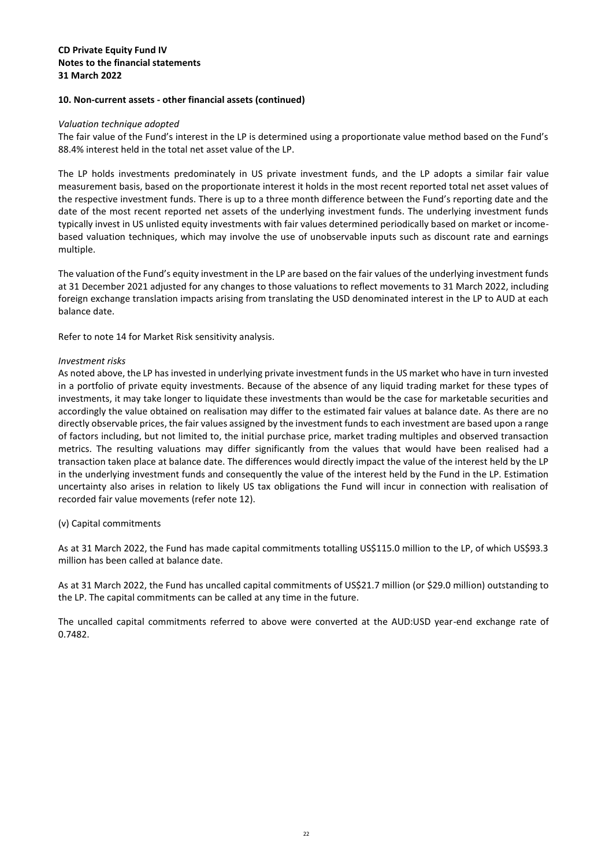#### **10. Non-current assets - other financial assets (continued)**

#### *Valuation technique adopted*

The fair value of the Fund's interest in the LP is determined using a proportionate value method based on the Fund's 88.4% interest held in the total net asset value of the LP.

The LP holds investments predominately in US private investment funds, and the LP adopts a similar fair value measurement basis, based on the proportionate interest it holds in the most recent reported total net asset values of the respective investment funds. There is up to a three month difference between the Fund's reporting date and the date of the most recent reported net assets of the underlying investment funds. The underlying investment funds typically invest in US unlisted equity investments with fair values determined periodically based on market or incomebased valuation techniques, which may involve the use of unobservable inputs such as discount rate and earnings multiple.

The valuation of the Fund's equity investment in the LP are based on the fair values of the underlying investment funds at 31 December 2021 adjusted for any changes to those valuations to reflect movements to 31 March 2022, including foreign exchange translation impacts arising from translating the USD denominated interest in the LP to AUD at each balance date.

Refer to note 14 for Market Risk sensitivity analysis.

#### *Investment risks*

As noted above, the LP has invested in underlying private investment funds in the US market who have in turn invested in a portfolio of private equity investments. Because of the absence of any liquid trading market for these types of investments, it may take longer to liquidate these investments than would be the case for marketable securities and accordingly the value obtained on realisation may differ to the estimated fair values at balance date. As there are no directly observable prices, the fair values assigned by the investment funds to each investment are based upon a range of factors including, but not limited to, the initial purchase price, market trading multiples and observed transaction metrics. The resulting valuations may differ significantly from the values that would have been realised had a transaction taken place at balance date. The differences would directly impact the value of the interest held by the LP in the underlying investment funds and consequently the value of the interest held by the Fund in the LP. Estimation uncertainty also arises in relation to likely US tax obligations the Fund will incur in connection with realisation of recorded fair value movements (refer note 12).

#### (v) Capital commitments

As at 31 March 2022, the Fund has made capital commitments totalling US\$115.0 million to the LP, of which US\$93.3 million has been called at balance date.

As at 31 March 2022, the Fund has uncalled capital commitments of US\$21.7 million (or \$29.0 million) outstanding to the LP. The capital commitments can be called at any time in the future.

The uncalled capital commitments referred to above were converted at the AUD:USD year-end exchange rate of 0.7482.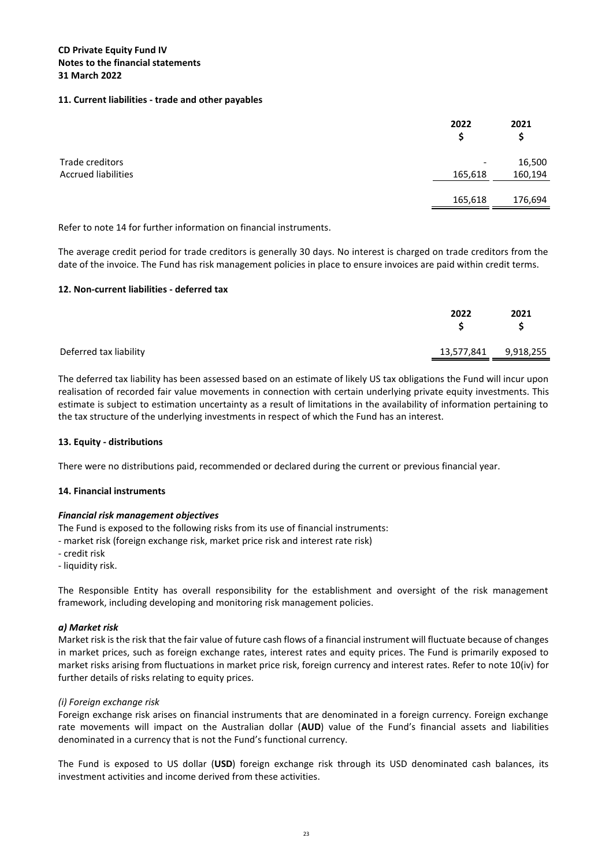#### **11. Current liabilities - trade and other payables**

<span id="page-23-0"></span>

|                            | 2022<br>S                | 2021<br>\$ |
|----------------------------|--------------------------|------------|
| Trade creditors            | $\overline{\phantom{a}}$ | 16,500     |
| <b>Accrued liabilities</b> | 165,618                  | 160,194    |
|                            | 165,618                  | 176,694    |

Refer to note 14 for further information on financial instruments.

The average credit period for trade creditors is generally 30 days. No interest is charged on trade creditors from the date of the invoice. The Fund has risk management policies in place to ensure invoices are paid within credit terms.

#### **12. Non-current liabilities - deferred tax**

<span id="page-23-1"></span>

|                                                | 2021 |
|------------------------------------------------|------|
| Deferred tax liability<br>13,577,841 9,918,255 |      |

The deferred tax liability has been assessed based on an estimate of likely US tax obligations the Fund will incur upon realisation of recorded fair value movements in connection with certain underlying private equity investments. This estimate is subject to estimation uncertainty as a result of limitations in the availability of information pertaining to the tax structure of the underlying investments in respect of which the Fund has an interest.

#### **13. Equity - distributions**

There were no distributions paid, recommended or declared during the current or previous financial year.

#### **14. Financial instruments**

#### *Financial risk management objectives*

The Fund is exposed to the following risks from its use of financial instruments:

- market risk (foreign exchange risk, market price risk and interest rate risk)
- credit risk
- liquidity risk.

The Responsible Entity has overall responsibility for the establishment and oversight of the risk management framework, including developing and monitoring risk management policies.

#### *a) Market risk*

Market risk is the risk that the fair value of future cash flows of a financial instrument will fluctuate because of changes in market prices, such as foreign exchange rates, interest rates and equity prices. The Fund is primarily exposed to market risks arising from fluctuations in market price risk, foreign currency and interest rates. Refer to note 10(iv) for further details of risks relating to equity prices.

#### *(i) Foreign exchange risk*

Foreign exchange risk arises on financial instruments that are denominated in a foreign currency. Foreign exchange rate movements will impact on the Australian dollar (**AUD**) value of the Fund's financial assets and liabilities denominated in a currency that is not the Fund's functional currency.

The Fund is exposed to US dollar (**USD**) foreign exchange risk through its USD denominated cash balances, its investment activities and income derived from these activities.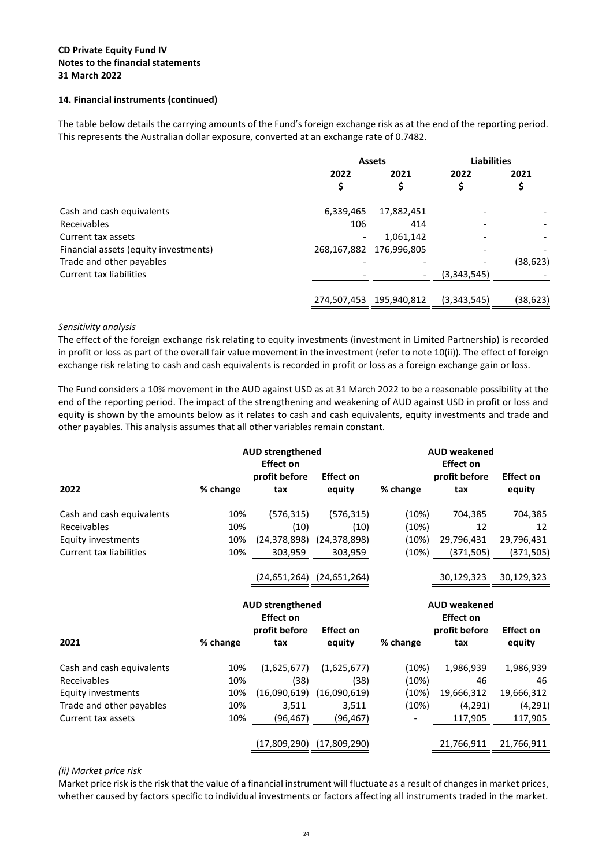#### **CD Private Equity Fund IV Notes to the financial statements 31 March 2022**

#### **14. Financial instruments (continued)**

The table below details the carrying amounts of the Fund's foreign exchange risk as at the end of the reporting period. This represents the Australian dollar exposure, converted at an exchange rate of 0.7482.

|                                       | <b>Assets</b> |             | <b>Liabilities</b> |          |
|---------------------------------------|---------------|-------------|--------------------|----------|
|                                       | 2022          | 2021        | 2022               | 2021     |
|                                       | \$            | \$          |                    | ⊋        |
| Cash and cash equivalents             | 6,339,465     | 17,882,451  |                    |          |
| Receivables                           | 106           | 414         |                    |          |
| Current tax assets                    | ٠             | 1,061,142   |                    |          |
| Financial assets (equity investments) | 268,167,882   | 176,996,805 |                    |          |
| Trade and other payables              |               |             |                    | (38,623) |
| Current tax liabilities               |               |             | (3,343,545)        |          |
|                                       | 274,507,453   | 195,940,812 | (3,343,545)        | (38,623) |

#### *Sensitivity analysis*

The effect of the foreign exchange risk relating to equity investments (investment in Limited Partnership) is recorded in profit or loss as part of the overall fair value movement in the investment (refer to note 10(ii)). The effect of foreign exchange risk relating to cash and cash equivalents is recorded in profit or loss as a foreign exchange gain or loss.

The Fund considers a 10% movement in the AUD against USD as at 31 March 2022 to be a reasonable possibility at the end of the reporting period. The impact of the strengthening and weakening of AUD against USD in profit or loss and equity is shown by the amounts below as it relates to cash and cash equivalents, equity investments and trade and other payables. This analysis assumes that all other variables remain constant.

|                                |          | <b>AUD strengthened</b><br><b>Effect on</b> |                                   |          | <b>AUD weakened</b><br><b>Effect on</b> |                  |
|--------------------------------|----------|---------------------------------------------|-----------------------------------|----------|-----------------------------------------|------------------|
|                                |          | profit before                               | <b>Effect on</b>                  |          | profit before                           | <b>Effect on</b> |
| 2022                           | % change | tax                                         | equity                            | % change | tax                                     | equity           |
| Cash and cash equivalents      | 10%      | (576, 315)                                  | (576, 315)                        | (10%)    | 704,385                                 | 704,385          |
| Receivables                    | 10%      | (10)                                        | (10)                              | (10%)    | 12                                      | 12               |
| Equity investments             | 10%      |                                             | $(24,378,898)$ $(24,378,898)$     | (10%)    | 29,796,431                              | 29,796,431       |
| <b>Current tax liabilities</b> | 10%      | 303,959                                     | 303,959                           | (10%)    | (371, 505)                              | (371, 505)       |
|                                |          |                                             | $(24, 651, 264)$ $(24, 651, 264)$ |          | 30,129,323                              | 30,129,323       |
|                                |          | <b>AUD strengthened</b>                     |                                   |          | <b>AUD weakened</b>                     |                  |
|                                |          | <b>Effect on</b>                            |                                   |          | <b>Effect on</b>                        |                  |
|                                |          | profit before                               | <b>Effect on</b>                  |          | profit before                           | <b>Effect on</b> |
| 2021                           |          |                                             |                                   |          |                                         |                  |
|                                | % change | tax                                         | equity                            | % change | tax                                     | equity           |
| Cash and cash equivalents      | 10%      | (1,625,677)                                 | (1,625,677)                       | (10%)    | 1,986,939                               | 1,986,939        |
| Receivables                    | 10%      | (38)                                        | (38)                              | (10%)    | 46                                      | 46               |
| Equity investments             | 10%      |                                             | $(16,090,619)$ $(16,090,619)$     | (10%)    | 19,666,312                              | 19,666,312       |
| Trade and other payables       | 10%      | 3,511                                       | 3,511                             | (10%)    | (4, 291)                                | (4, 291)         |
| Current tax assets             | 10%      | (96, 467)                                   | (96, 467)                         |          | 117,905                                 | 117,905          |

#### *(ii) Market price risk*

Market price risk is the risk that the value of a financial instrument will fluctuate as a result of changes in market prices, whether caused by factors specific to individual investments or factors affecting all instruments traded in the market.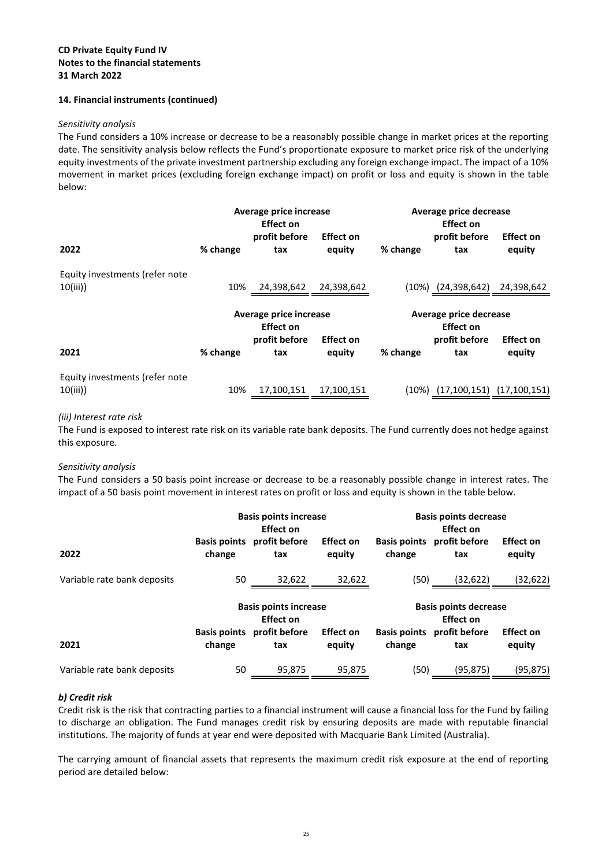#### **14. Financial instruments (continued)**

#### *Sensitivity analysis*

The Fund considers a 10% increase or decrease to be a reasonably possible change in market prices at the reporting date. The sensitivity analysis below reflects the Fund's proportionate exposure to market price risk of the underlying equity investments of the private investment partnership excluding any foreign exchange impact. The impact of a 10% movement in market prices (excluding foreign exchange impact) on profit or loss and equity is shown in the table below:

|                                           |          | Average price increase<br>Effect on                                |                            |          | Average price decrease<br><b>Effect on</b>                  |                                   |
|-------------------------------------------|----------|--------------------------------------------------------------------|----------------------------|----------|-------------------------------------------------------------|-----------------------------------|
| 2022                                      | % change | profit before<br>tax                                               | <b>Effect on</b><br>equity | % change | profit before<br>tax                                        | <b>Effect on</b><br>equity        |
| Equity investments (refer note<br>10(iii) | 10%      | 24,398,642                                                         | 24,398,642                 |          | $(10\%)$ $(24,398,642)$                                     | 24,398,642                        |
| 2021                                      | % change | Average price increase<br><b>Effect on</b><br>profit before<br>tax | <b>Effect on</b><br>equity | % change | Average price decrease<br>Effect on<br>profit before<br>tax | <b>Effect on</b><br>equity        |
| Equity investments (refer note<br>10(iii) | 10%      | 17,100,151                                                         | 17,100,151                 | (10%)    |                                                             | $(17, 100, 151)$ $(17, 100, 151)$ |

#### *(iii) Interest rate risk*

The Fund is exposed to interest rate risk on its variable rate bank deposits. The Fund currently does not hedge against this exposure.

#### *Sensitivity analysis*

The Fund considers a 50 basis point increase or decrease to be a reasonably possible change in interest rates. The impact of a 50 basis point movement in interest rates on profit or loss and equity is shown in the table below.

|                             |        | <b>Basis points increase</b><br>Effect on        |                            |                               | <b>Basis points decrease</b><br>Effect on        |                            |
|-----------------------------|--------|--------------------------------------------------|----------------------------|-------------------------------|--------------------------------------------------|----------------------------|
| 2022                        | change | Basis points profit before<br>tax                | <b>Effect on</b><br>equity | <b>Basis points</b><br>change | profit before<br>tax                             | <b>Effect on</b><br>equity |
| Variable rate bank deposits | 50     | 32,622                                           | 32,622                     | (50)                          | (32, 622)                                        | (32, 622)                  |
|                             |        |                                                  |                            |                               |                                                  |                            |
|                             |        | <b>Basis points increase</b><br><b>Effect on</b> |                            |                               | <b>Basis points decrease</b><br><b>Effect on</b> |                            |
| 2021                        | change | Basis points profit before<br>tax                | <b>Effect on</b><br>equity | <b>Basis points</b><br>change | profit before<br>tax                             | <b>Effect on</b><br>equity |

#### *b) Credit risk*

Credit risk is the risk that contracting parties to a financial instrument will cause a financial loss for the Fund by failing to discharge an obligation. The Fund manages credit risk by ensuring deposits are made with reputable financial institutions. The majority of funds at year end were deposited with Macquarie Bank Limited (Australia).

The carrying amount of financial assets that represents the maximum credit risk exposure at the end of reporting period are detailed below: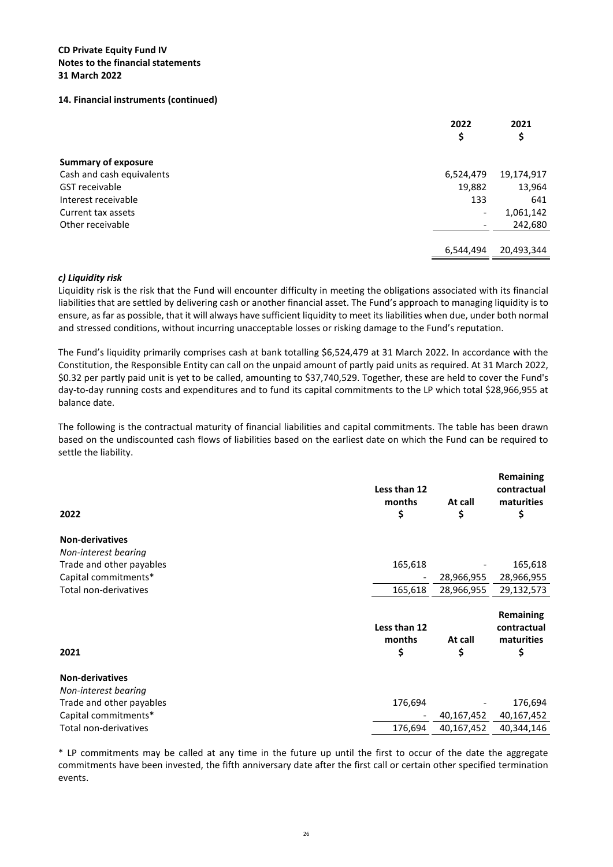#### **CD Private Equity Fund IV Notes to the financial statements 31 March 2022**

#### **14. Financial instruments (continued)**

|                            | 2022<br>\$               | 2021<br>\$ |
|----------------------------|--------------------------|------------|
|                            |                          |            |
| <b>Summary of exposure</b> |                          |            |
| Cash and cash equivalents  | 6,524,479                | 19,174,917 |
| <b>GST</b> receivable      | 19,882                   | 13,964     |
| Interest receivable        | 133                      | 641        |
| Current tax assets         | $\overline{\phantom{0}}$ | 1,061,142  |
| Other receivable           |                          | 242,680    |
|                            |                          |            |
|                            | 6,544,494                | 20,493,344 |
|                            |                          |            |

#### *c) Liquidity risk*

Liquidity risk is the risk that the Fund will encounter difficulty in meeting the obligations associated with its financial liabilities that are settled by delivering cash or another financial asset. The Fund's approach to managing liquidity is to ensure, as far as possible, that it will always have sufficient liquidity to meet its liabilities when due, under both normal and stressed conditions, without incurring unacceptable losses or risking damage to the Fund's reputation.

The Fund's liquidity primarily comprises cash at bank totalling \$6,524,479 at 31 March 2022. In accordance with the Constitution, the Responsible Entity can call on the unpaid amount of partly paid units as required. At 31 March 2022, \$0.32 per partly paid unit is yet to be called, amounting to \$37,740,529. Together, these are held to cover the Fund's day-to-day running costs and expenditures and to fund its capital commitments to the LP which total \$28,966,955 at balance date.

The following is the contractual maturity of financial liabilities and capital commitments. The table has been drawn based on the undiscounted cash flows of liabilities based on the earliest date on which the Fund can be required to settle the liability.

| 2022                     | Less than 12<br>months<br>\$ | At call<br>\$ | Remaining<br>contractual<br>maturities<br>\$ |
|--------------------------|------------------------------|---------------|----------------------------------------------|
| <b>Non-derivatives</b>   |                              |               |                                              |
| Non-interest bearing     |                              |               |                                              |
| Trade and other payables | 165,618                      |               | 165,618                                      |
| Capital commitments*     |                              | 28,966,955    | 28,966,955                                   |
| Total non-derivatives    | 165,618                      | 28,966,955    | 29,132,573                                   |
| 2021                     | Less than 12<br>months<br>\$ | At call<br>\$ | Remaining<br>contractual<br>maturities<br>\$ |
| <b>Non-derivatives</b>   |                              |               |                                              |
| Non-interest bearing     |                              |               |                                              |
| Trade and other payables | 176,694                      |               | 176,694                                      |
| Capital commitments*     |                              | 40,167,452    | 40,167,452                                   |
| Total non-derivatives    | 176,694                      | 40,167,452    | 40,344,146                                   |

\* LP commitments may be called at any time in the future up until the first to occur of the date the aggregate commitments have been invested, the fifth anniversary date after the first call or certain other specified termination events.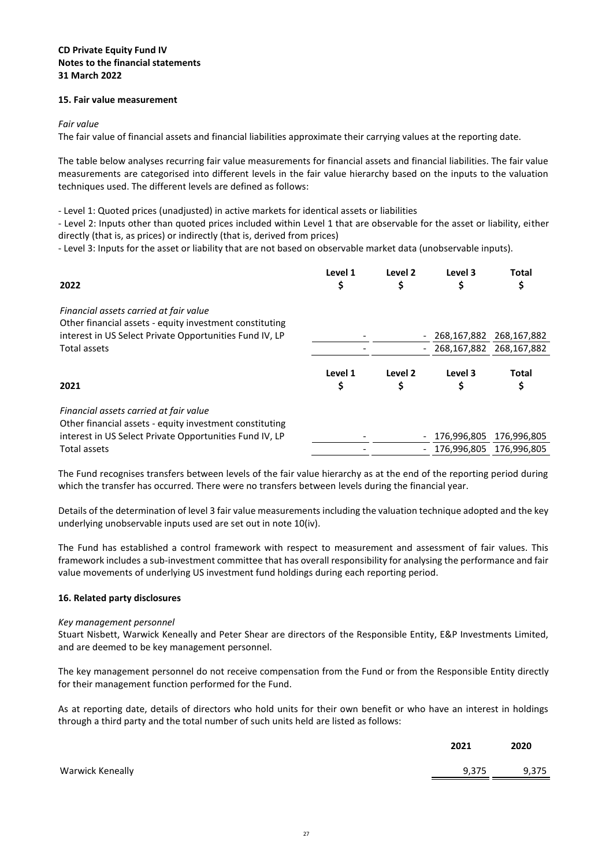#### **CD Private Equity Fund IV Notes to the financial statements 31 March 2022**

#### **15. Fair value measurement**

#### *Fair value*

The fair value of financial assets and financial liabilities approximate their carrying values at the reporting date.

The table below analyses recurring fair value measurements for financial assets and financial liabilities. The fair value measurements are categorised into different levels in the fair value hierarchy based on the inputs to the valuation techniques used. The different levels are defined as follows:

- Level 1: Quoted prices (unadjusted) in active markets for identical assets or liabilities

- Level 2: Inputs other than quoted prices included within Level 1 that are observable for the asset or liability, either directly (that is, as prices) or indirectly (that is, derived from prices)

- Level 3: Inputs for the asset or liability that are not based on observable market data (unobservable inputs).

| 2022                                                                                              | Level 1<br>\$ | Level 2<br>\$            | Level 3                 | <b>Total</b><br>\$      |
|---------------------------------------------------------------------------------------------------|---------------|--------------------------|-------------------------|-------------------------|
| Financial assets carried at fair value<br>Other financial assets - equity investment constituting |               |                          |                         |                         |
| interest in US Select Private Opportunities Fund IV, LP                                           |               | $\qquad \qquad -$        | 268,167,882             | 268,167,882             |
| Total assets                                                                                      |               | -                        |                         | 268,167,882 268,167,882 |
| 2021                                                                                              | Level 1<br>\$ | Level 2<br>\$            | Level 3<br>\$           | <b>Total</b><br>\$      |
| Financial assets carried at fair value<br>Other financial assets - equity investment constituting |               |                          |                         |                         |
| interest in US Select Private Opportunities Fund IV, LP                                           |               | $\qquad \qquad -$        | 176,996,805             | 176,996,805             |
| <b>Total assets</b>                                                                               |               | $\overline{\phantom{0}}$ | 176,996,805 176,996,805 |                         |

The Fund recognises transfers between levels of the fair value hierarchy as at the end of the reporting period during which the transfer has occurred. There were no transfers between levels during the financial year.

Details of the determination of level 3 fair value measurements including the valuation technique adopted and the key underlying unobservable inputs used are set out in note 10(iv).

The Fund has established a control framework with respect to measurement and assessment of fair values. This framework includes a sub-investment committee that has overall responsibility for analysing the performance and fair value movements of underlying US investment fund holdings during each reporting period.

#### <span id="page-27-0"></span>**16. Related party disclosures**

#### *Key management personnel*

Stuart Nisbett, Warwick Keneally and Peter Shear are directors of the Responsible Entity, E&P Investments Limited, and are deemed to be key management personnel.

The key management personnel do not receive compensation from the Fund or from the Responsible Entity directly for their management function performed for the Fund.

As at reporting date, details of directors who hold units for their own benefit or who have an interest in holdings through a third party and the total number of such units held are listed as follows:

|                  | 2021  | 2020  |
|------------------|-------|-------|
| Warwick Keneally | 9,375 | 9,375 |
|                  |       |       |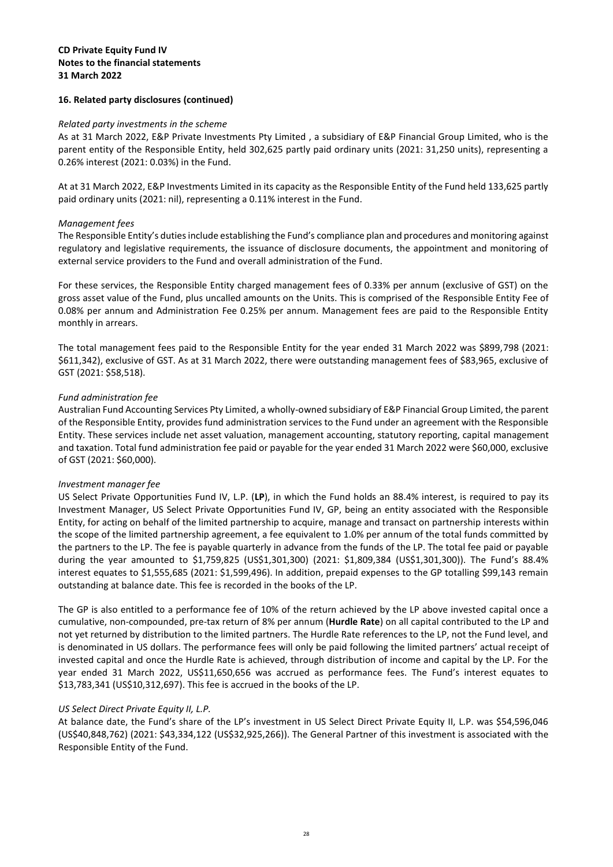#### **16. Related party disclosures (continued)**

#### *Related party investments in the scheme*

As at 31 March 2022, E&P Private Investments Pty Limited , a subsidiary of E&P Financial Group Limited, who is the parent entity of the Responsible Entity, held 302,625 partly paid ordinary units (2021: 31,250 units), representing a 0.26% interest (2021: 0.03%) in the Fund.

At at 31 March 2022, E&P Investments Limited in its capacity as the Responsible Entity of the Fund held 133,625 partly paid ordinary units (2021: nil), representing a 0.11% interest in the Fund.

#### *Management fees*

The Responsible Entity's duties include establishing the Fund's compliance plan and procedures and monitoring against regulatory and legislative requirements, the issuance of disclosure documents, the appointment and monitoring of external service providers to the Fund and overall administration of the Fund.

For these services, the Responsible Entity charged management fees of 0.33% per annum (exclusive of GST) on the gross asset value of the Fund, plus uncalled amounts on the Units. This is comprised of the Responsible Entity Fee of 0.08% per annum and Administration Fee 0.25% per annum. Management fees are paid to the Responsible Entity monthly in arrears.

The total management fees paid to the Responsible Entity for the year ended 31 March 2022 was \$899,798 (2021: \$611,342), exclusive of GST. As at 31 March 2022, there were outstanding management fees of \$83,965, exclusive of GST (2021: \$58,518).

#### *Fund administration fee*

Australian Fund Accounting Services Pty Limited, a wholly-owned subsidiary of E&P Financial Group Limited, the parent of the Responsible Entity, provides fund administration services to the Fund under an agreement with the Responsible Entity. These services include net asset valuation, management accounting, statutory reporting, capital management and taxation. Total fund administration fee paid or payable for the year ended 31 March 2022 were \$60,000, exclusive of GST (2021: \$60,000).

#### *Investment manager fee*

US Select Private Opportunities Fund IV, L.P. (**LP**), in which the Fund holds an 88.4% interest, is required to pay its Investment Manager, US Select Private Opportunities Fund IV, GP, being an entity associated with the Responsible Entity, for acting on behalf of the limited partnership to acquire, manage and transact on partnership interests within the scope of the limited partnership agreement, a fee equivalent to 1.0% per annum of the total funds committed by the partners to the LP. The fee is payable quarterly in advance from the funds of the LP. The total fee paid or payable during the year amounted to \$1,759,825 (US\$1,301,300) (2021: \$1,809,384 (US\$1,301,300)). The Fund's 88.4% interest equates to \$1,555,685 (2021: \$1,599,496). In addition, prepaid expenses to the GP totalling \$99,143 remain outstanding at balance date. This fee is recorded in the books of the LP.

The GP is also entitled to a performance fee of 10% of the return achieved by the LP above invested capital once a cumulative, non-compounded, pre-tax return of 8% per annum (**Hurdle Rate**) on all capital contributed to the LP and not yet returned by distribution to the limited partners. The Hurdle Rate references to the LP, not the Fund level, and is denominated in US dollars. The performance fees will only be paid following the limited partners' actual receipt of invested capital and once the Hurdle Rate is achieved, through distribution of income and capital by the LP. For the year ended 31 March 2022, US\$11,650,656 was accrued as performance fees. The Fund's interest equates to \$13,783,341 (US\$10,312,697). This fee is accrued in the books of the LP.

#### *US Select Direct Private Equity II, L.P.*

At balance date, the Fund's share of the LP's investment in US Select Direct Private Equity II, L.P. was \$54,596,046 (US\$40,848,762) (2021: \$43,334,122 (US\$32,925,266)). The General Partner of this investment is associated with the Responsible Entity of the Fund.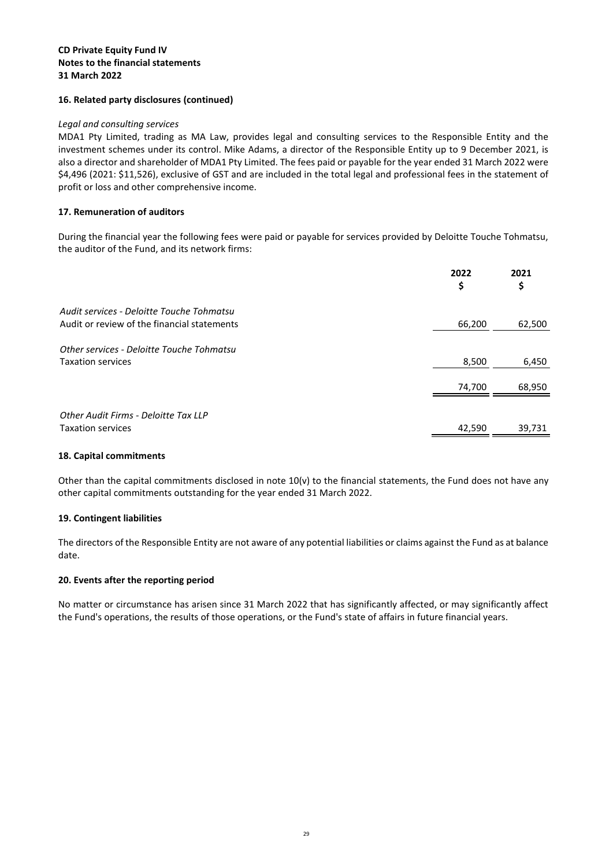#### **CD Private Equity Fund IV Notes to the financial statements 31 March 2022**

#### **16. Related party disclosures (continued)**

#### *Legal and consulting services*

MDA1 Pty Limited, trading as MA Law, provides legal and consulting services to the Responsible Entity and the investment schemes under its control. Mike Adams, a director of the Responsible Entity up to 9 December 2021, is also a director and shareholder of MDA1 Pty Limited. The fees paid or payable for the year ended 31 March 2022 were \$4,496 (2021: \$11,526), exclusive of GST and are included in the total legal and professional fees in the statement of profit or loss and other comprehensive income.

#### **17. Remuneration of auditors**

During the financial year the following fees were paid or payable for services provided by Deloitte Touche Tohmatsu, the auditor of the Fund, and its network firms:

|                                             | 2022<br>Ş | 2021<br>\$ |
|---------------------------------------------|-----------|------------|
| Audit services - Deloitte Touche Tohmatsu   |           |            |
| Audit or review of the financial statements | 66,200    | 62,500     |
| Other services - Deloitte Touche Tohmatsu   |           |            |
| <b>Taxation services</b>                    | 8,500     | 6,450      |
|                                             | 74,700    | 68,950     |
| Other Audit Firms - Deloitte Tax LLP        |           |            |
| <b>Taxation services</b>                    | 42,590    | 39,731     |

#### **18. Capital commitments**

Other than the capital commitments disclosed in note  $10(v)$  to the financial statements, the Fund does not have any other capital commitments outstanding for the year ended 31 March 2022.

#### **19. Contingent liabilities**

The directors of the Responsible Entity are not aware of any potential liabilities or claims against the Fund as at balance date.

#### **20. Events after the reporting period**

No matter or circumstance has arisen since 31 March 2022 that has significantly affected, or may significantly affect the Fund's operations, the results of those operations, or the Fund's state of affairs in future financial years.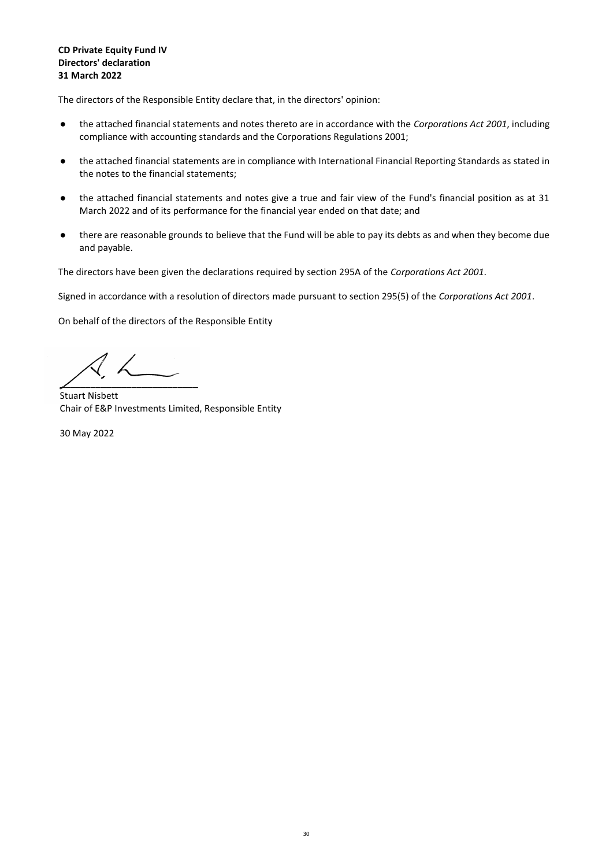#### **CD Private Equity Fund IV Directors' declaration 31 March 2022**

The directors of the Responsible Entity declare that, in the directors' opinion:

- the attached financial statements and notes thereto are in accordance with the *Corporations Act 2001*, including compliance with accounting standards and the Corporations Regulations 2001;
- the attached financial statements are in compliance with International Financial Reporting Standards as stated in the notes to the financial statements;
- the attached financial statements and notes give a true and fair view of the Fund's financial position as at 31 March 2022 and of its performance for the financial year ended on that date; and
- there are reasonable grounds to believe that the Fund will be able to pay its debts as and when they become due and payable.

The directors have been given the declarations required by section 295A of the *Corporations Act 2001*.

Signed in accordance with a resolution of directors made pursuant to section 295(5) of the *Corporations Act 2001*.

On behalf of the directors of the Responsible Entity

\_\_\_\_\_\_\_\_\_\_\_\_\_\_\_\_\_\_\_\_\_\_\_\_\_\_\_

Stuart Nisbett Chair of E&P Investments Limited, Responsible Entity

30 May 2022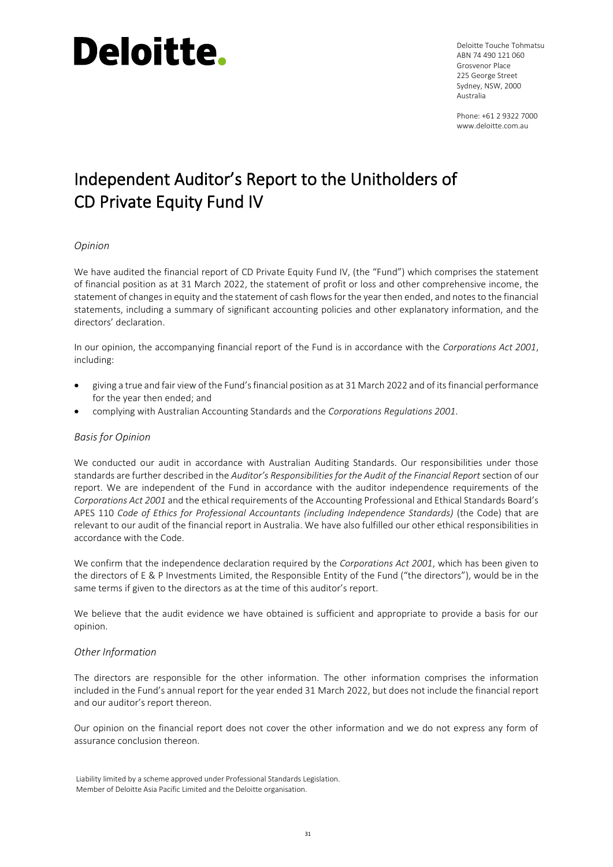## Deloitte.

Deloitte Touche Tohmatsu ABN 74 490 121 060 Grosvenor Place 225 George Street Sydney, NSW, 2000 Australia

Phone: +61 2 9322 7000 www.deloitte.com.au

### Independent Auditor's Report to the Unitholders of CD Private Equity Fund IV

### *Opinion*

We have audited the financial report of CD Private Equity Fund IV, (the "Fund") which comprises the statement of financial position as at 31 March 2022, the statement of profit or loss and other comprehensive income, the statement of changes in equity and the statement of cash flows for the year then ended, and notes to the financial statements, including a summary of significant accounting policies and other explanatory information, and the directors' declaration.

In our opinion, the accompanying financial report of the Fund is in accordance with the *Corporations Act 2001*, including:

- giving a true and fair view of the Fund'sfinancial position as at 31 March 2022 and of itsfinancial performance for the year then ended; and
- complying with Australian Accounting Standards and the *Corporations Regulations 2001*.

#### *Basis for Opinion*

We conducted our audit in accordance with Australian Auditing Standards. Our responsibilities under those standards are further described in the *Auditor's Responsibilities for the Audit of the Financial Report* section of our report. We are independent of the Fund in accordance with the auditor independence requirements of the *Corporations Act 2001* and the ethical requirements of the Accounting Professional and Ethical Standards Board's APES 110 *Code of Ethics for Professional Accountants (including Independence Standards)* (the Code) that are relevant to our audit of the financial report in Australia. We have also fulfilled our other ethical responsibilities in accordance with the Code.

We confirm that the independence declaration required by the *Corporations Act 2001*, which has been given to the directors of E & P Investments Limited, the Responsible Entity of the Fund ("the directors"), would be in the same terms if given to the directors as at the time of this auditor's report.

We believe that the audit evidence we have obtained is sufficient and appropriate to provide a basis for our opinion.

#### *Other Information*

The directors are responsible for the other information. The other information comprises the information included in the Fund's annual report for the year ended 31 March 2022, but does not include the financial report and our auditor's report thereon.

Our opinion on the financial report does not cover the other information and we do not express any form of assurance conclusion thereon.

Liability limited by a scheme approved under Professional Standards Legislation. Member of Deloitte Asia Pacific Limited and the Deloitte organisation.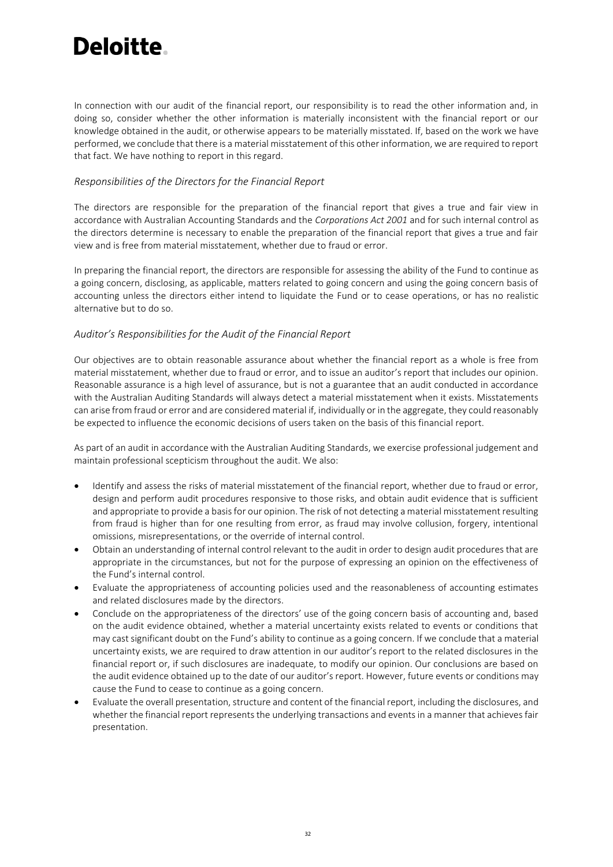## Deloitte.

In connection with our audit of the financial report, our responsibility is to read the other information and, in doing so, consider whether the other information is materially inconsistent with the financial report or our knowledge obtained in the audit, or otherwise appears to be materially misstated. If, based on the work we have performed, we conclude that there is a material misstatement of this other information, we are required to report that fact. We have nothing to report in this regard.

#### *Responsibilities of the Directors for the Financial Report*

The directors are responsible for the preparation of the financial report that gives a true and fair view in accordance with Australian Accounting Standards and the *Corporations Act 2001* and for such internal control as the directors determine is necessary to enable the preparation of the financial report that gives a true and fair view and is free from material misstatement, whether due to fraud or error.

In preparing the financial report, the directors are responsible for assessing the ability of the Fund to continue as a going concern, disclosing, as applicable, matters related to going concern and using the going concern basis of accounting unless the directors either intend to liquidate the Fund or to cease operations, or has no realistic alternative but to do so.

#### *Auditor's Responsibilities for the Audit of the Financial Report*

Our objectives are to obtain reasonable assurance about whether the financial report as a whole is free from material misstatement, whether due to fraud or error, and to issue an auditor's report that includes our opinion. Reasonable assurance is a high level of assurance, but is not a guarantee that an audit conducted in accordance with the Australian Auditing Standards will always detect a material misstatement when it exists. Misstatements can arise from fraud or error and are considered material if, individually or in the aggregate, they could reasonably be expected to influence the economic decisions of users taken on the basis of this financial report.

As part of an audit in accordance with the Australian Auditing Standards, we exercise professional judgement and maintain professional scepticism throughout the audit. We also:

- Identify and assess the risks of material misstatement of the financial report, whether due to fraud or error, design and perform audit procedures responsive to those risks, and obtain audit evidence that is sufficient and appropriate to provide a basis for our opinion. The risk of not detecting a material misstatement resulting from fraud is higher than for one resulting from error, as fraud may involve collusion, forgery, intentional omissions, misrepresentations, or the override of internal control.
- Obtain an understanding of internal control relevant to the audit in order to design audit procedures that are appropriate in the circumstances, but not for the purpose of expressing an opinion on the effectiveness of the Fund's internal control.
- Evaluate the appropriateness of accounting policies used and the reasonableness of accounting estimates and related disclosures made by the directors.
- Conclude on the appropriateness of the directors' use of the going concern basis of accounting and, based on the audit evidence obtained, whether a material uncertainty exists related to events or conditions that may cast significant doubt on the Fund's ability to continue as a going concern. If we conclude that a material uncertainty exists, we are required to draw attention in our auditor's report to the related disclosures in the financial report or, if such disclosures are inadequate, to modify our opinion. Our conclusions are based on the audit evidence obtained up to the date of our auditor's report. However, future events or conditions may cause the Fund to cease to continue as a going concern.
- Evaluate the overall presentation, structure and content of the financial report, including the disclosures, and whether the financial report represents the underlying transactions and events in a manner that achieves fair presentation.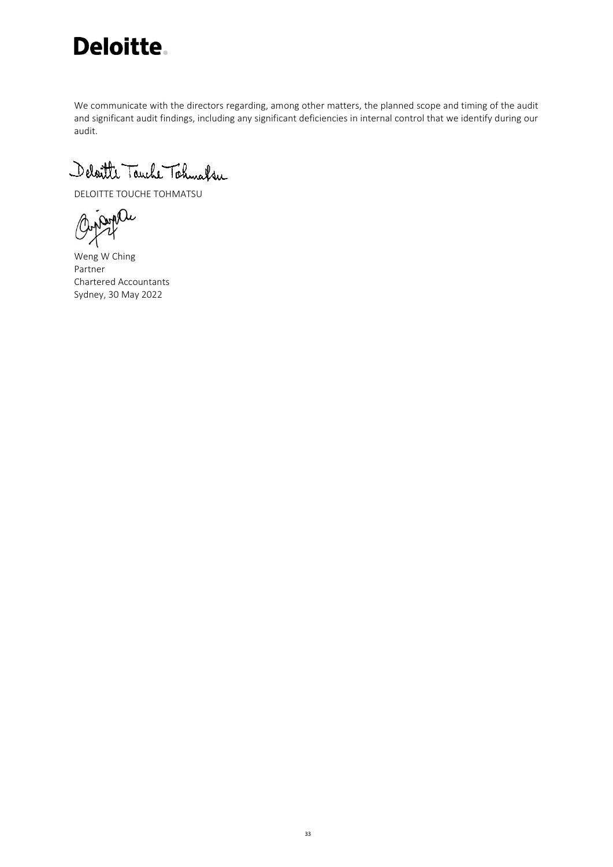

We communicate with the directors regarding, among other matters, the planned scope and timing of the audit and significant audit findings, including any significant deficiencies in internal control that we identify during our audit.

Deloitte Touche Tohnaker

DELOITTE TOUCHE TOHMATSU

Ourselle

Weng W Ching Partner Chartered Accountants Sydney, 30 May 2022